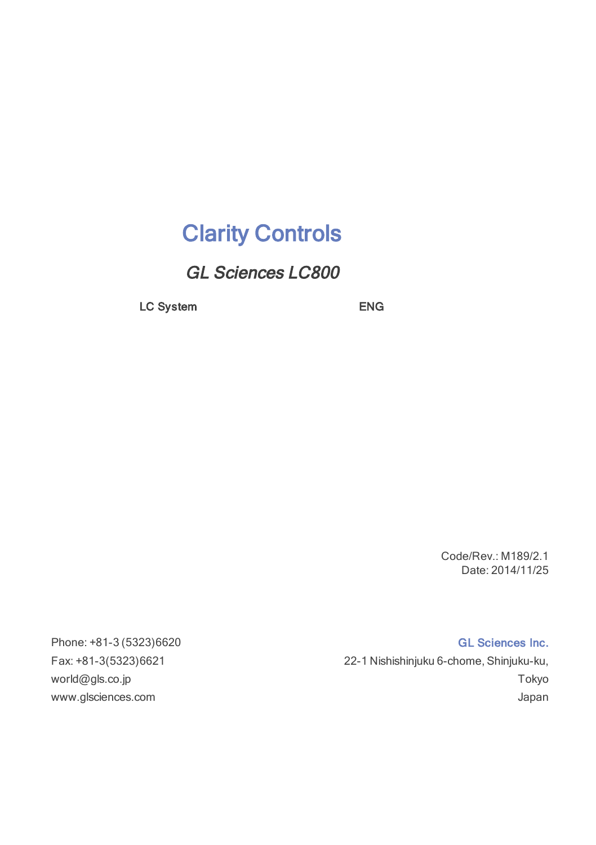## Clarity Controls

GL Sciences LC800

LC System ENG

Code/Rev.: M189/2.1 Date: 2014/11/25

Phone: +81-3 (5323)6620 GL Sciences Inc. Fax: +81-3(5323)6621 22-1 Nishishinjuku 6-chome, Shinjuku-ku, world@gls.co.jp Tokyo www.glsciences.com Japan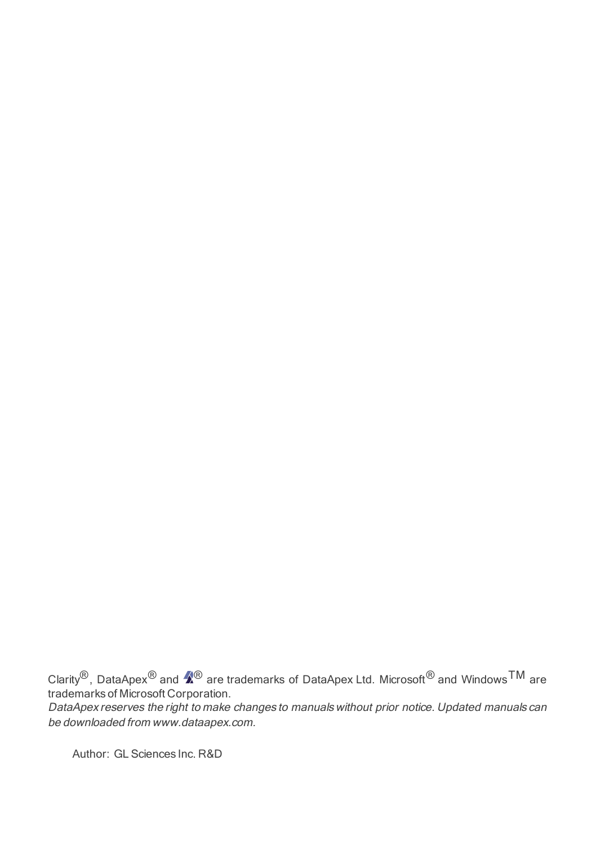Clarity<sup>®</sup>, DataApex<sup>®</sup> and  $\hat{Z}^{®}$  are trademarks of DataApex Ltd. Microsoft<sup>®</sup> and Windows<sup>TM</sup> are trademarks of Microsoft Corporation.

DataApex reserves the right to make changes to manuals without prior notice. Updated manuals can be downloaded from www.dataapex.com.

Author: GL Sciences Inc. R&D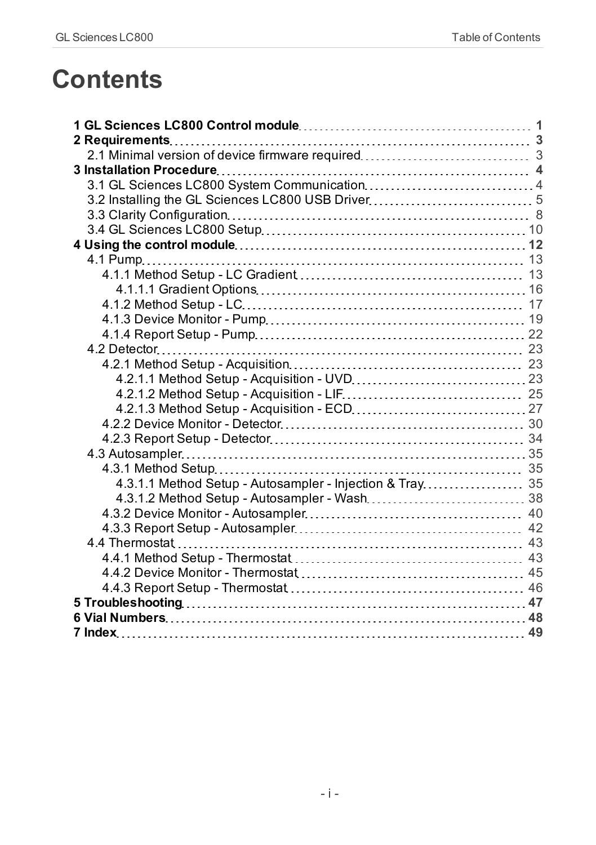## **Contents**

| 4.3.1.1 Method Setup - Autosampler - Injection & Tray 35 |  |
|----------------------------------------------------------|--|
|                                                          |  |
|                                                          |  |
|                                                          |  |
|                                                          |  |
|                                                          |  |
|                                                          |  |
|                                                          |  |
|                                                          |  |
|                                                          |  |
|                                                          |  |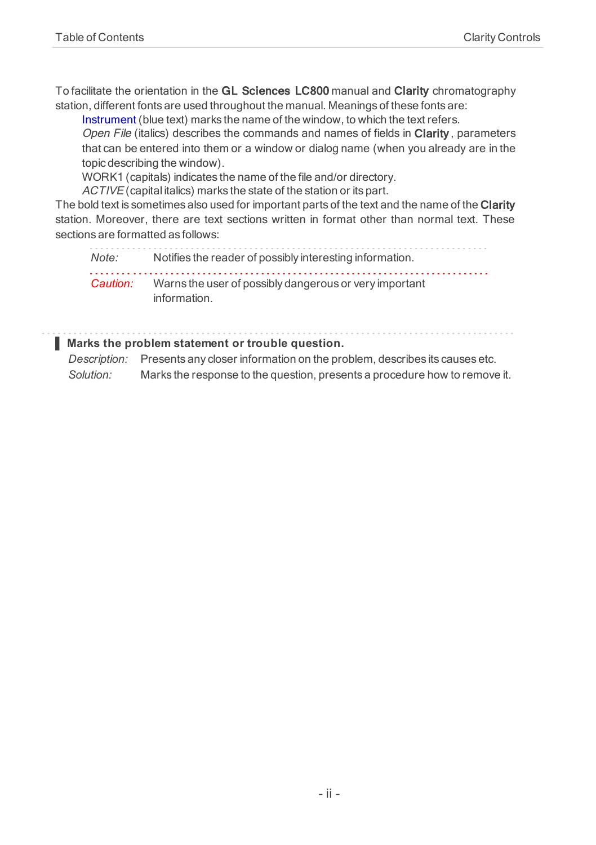To facilitate the orientation in the GL Sciences LC800 manual and Clarity chromatography station, different fonts are used throughout the manual. Meanings of these fonts are:

Instrument (blue text) marks the name of the window, to which the text refers.

Open File (italics) describes the commands and names of fields in Clarity, parameters that can be entered into them or a window or dialog name (when you already are in the topic describing the window).

WORK1 (capitals) indicates the name of the file and/or directory.

ACTIVE (capital italics) marks the state of the station or its part.

The bold text is sometimes also used for important parts of the text and the name of the Clarity station. Moreover, there are text sections written in format other than normal text. These sections are formatted as follows:

*Note:* Notifies the reader of possibly interesting information. *Caution:* Warns the user of possibly dangerous or very important information.

#### **▌ Marks the problem statement or trouble question.**

*Description:* Presents any closer information on the problem, describes its causes etc. *Solution:* Marks the response to the question, presents a procedure how to remove it.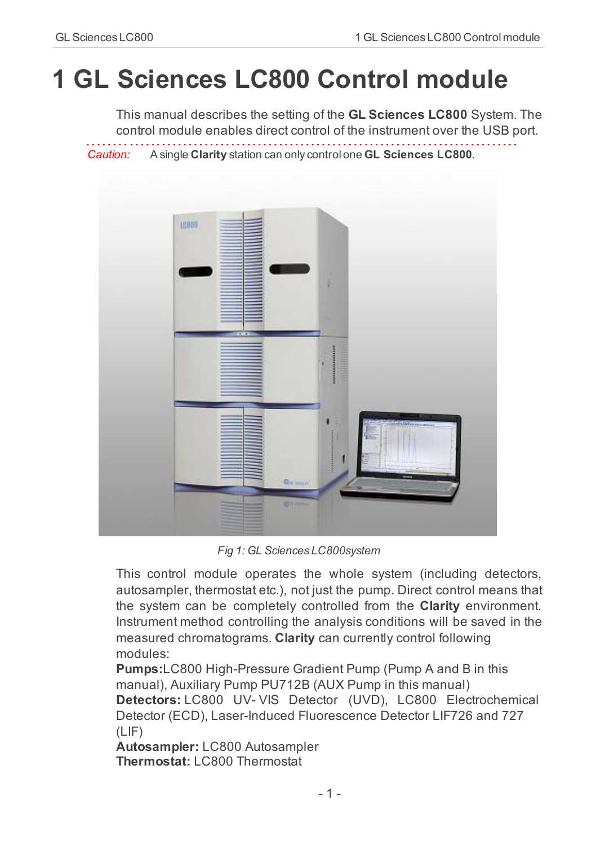# <span id="page-4-0"></span>**1 GL Sciences LC800 Control module**

This manual describes the setting of the **GL Sciences LC800** System. The control module enables direct control of the instrument over the USB port. 

*Caution:* A single **Clarity** station can only control one **GL Sciences LC800**.



*Fig 1: GL Sciences LC800system*

This control module operates the whole system (including detectors, autosampler, thermostat etc.), not just the pump. Direct control means that the system can be completely controlled from the **Clarity** environment. Instrument method controlling the analysis conditions will be saved in the measured chromatograms. **Clarity** can currently control following modules:

**Pumps:**LC800 High-Pressure Gradient Pump (Pump A and B in this manual), Auxiliary Pump PU712B (AUX Pump in this manual) **Detectors:** LC800 UV- VIS Detector (UVD), LC800 Electrochemical Detector (ECD), Laser-Induced Fluorescence Detector LIF726 and 727 (LIF)

**Autosampler:** LC800 Autosampler **Thermostat: LC800 Thermostat**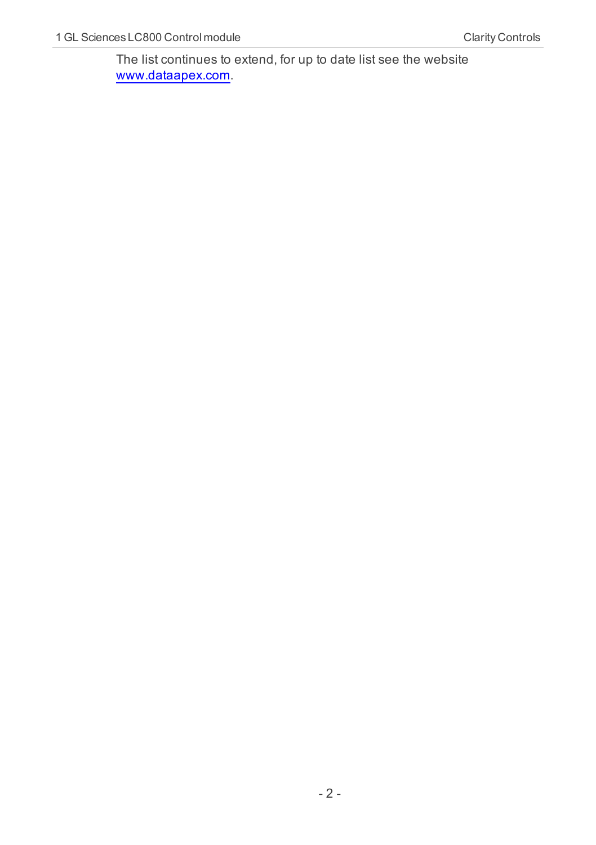The list continues to extend, for up to date list see the website [www.dataapex.com](http://www.dataapex.com/).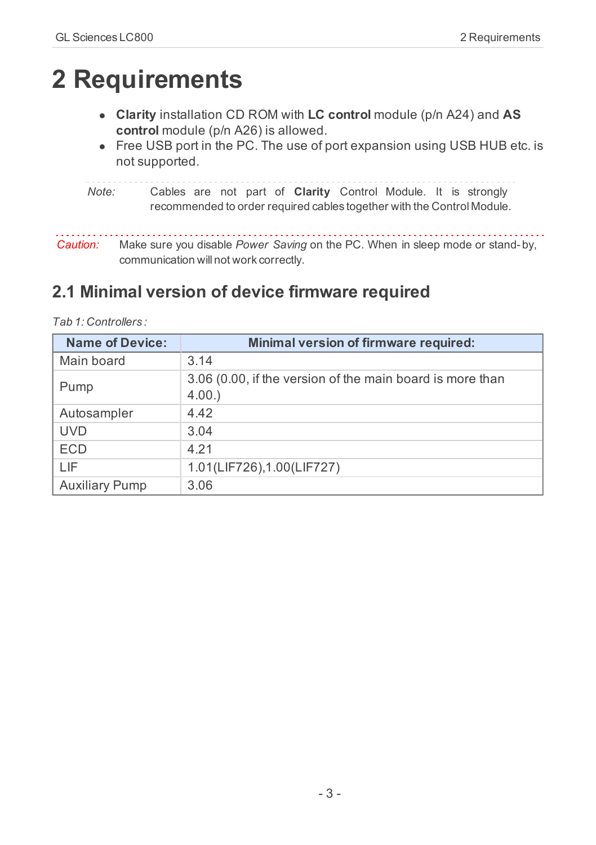## <span id="page-6-0"></span>**2 Requirements**

- <sup>l</sup> **Clarity** installation CD ROM with **LC control** module (p/n A24) and **AS control** module (p/n A26) is allowed.
- Free USB port in the PC. The use of port expansion using USB HUB etc. is not supported.

*Note:* Cables are not part of **Clarity** Control Module. It is strongly recommended to order required cables together with the Control Module.

. . . . . . . . . . . . *Caution:* Make sure you disable *Power Saving* on the PC. When in sleep mode or stand-by, communication will not work correctly.

## <span id="page-6-1"></span>**2.1 Minimal version of device firmware required**

| <b>Name of Device:</b> | Minimal version of firmware required:                              |
|------------------------|--------------------------------------------------------------------|
| Main board             | 3.14                                                               |
| Pump                   | 3.06 (0.00, if the version of the main board is more than<br>4.00. |
| Autosampler            | 4.42                                                               |
| <b>UVD</b>             | 3.04                                                               |
| <b>ECD</b>             | 4.21                                                               |
| I IF                   | 1.01(LIF726), 1.00(LIF727)                                         |
| <b>Auxiliary Pump</b>  | 3.06                                                               |

*Tab 1: Controllers :*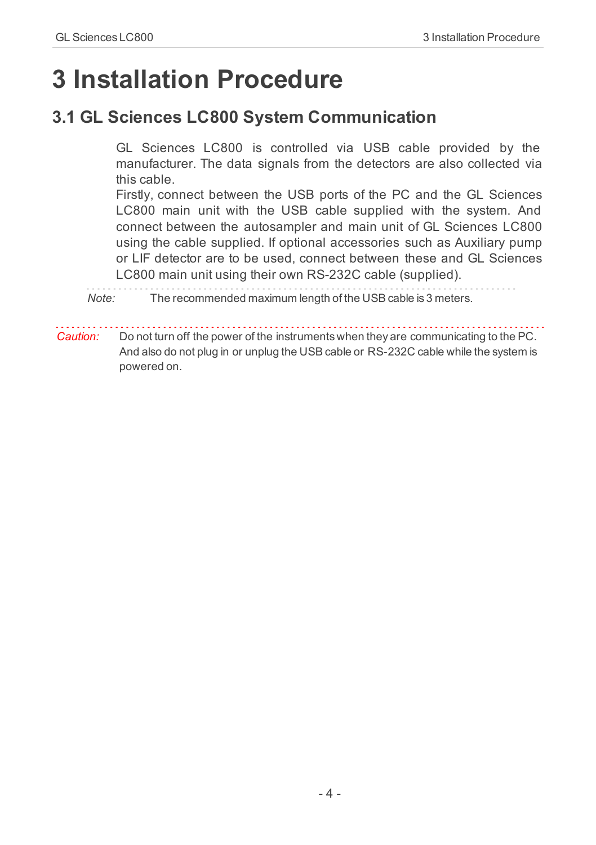## <span id="page-7-0"></span>**3 Installation Procedure**

## <span id="page-7-1"></span>**3.1 GL Sciences LC800 System Communication**

GL Sciences LC800 is controlled via USB cable provided by the manufacturer. The data signals from the detectors are also collected via this cable.

Firstly, connect between the USB ports of the PC and the GL Sciences LC800 main unit with the USB cable supplied with the system. And connect between the autosampler and main unit of GL Sciences LC800 using the cable supplied. If optional accessories such as Auxiliary pump or LIF detector are to be used, connect between these and GL Sciences LC800 main unit using their own RS-232C cable (supplied).

*Note:* The recommended maximum length of the USB cable is 3 meters.

*Caution:* Do not turn off the power of the instruments when they are communicating to the PC. And also do not plug in or unplug the USB cable or RS-232C cable while the system is powered on.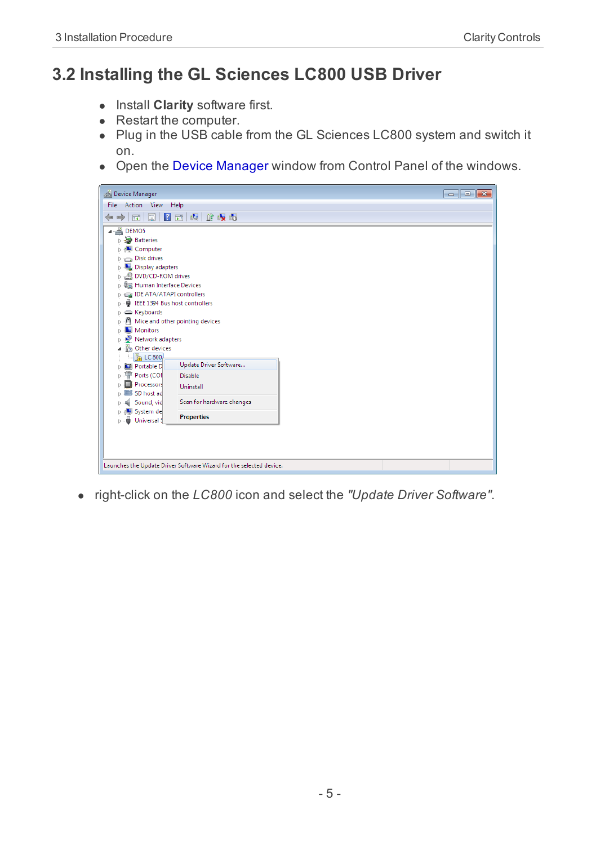## <span id="page-8-0"></span>**3.2 Installing the GL Sciences LC800 USB Driver**

- **.** Install **Clarity** software first.
- $\bullet$  Restart the computer.
- Plug in the USB cable from the GL Sciences LC800 system and switch it on.
- Open the Device Manager window from Control Panel of the windows.



<sup>l</sup> right-click on the *LC800* icon and select the *"Update Driver Software"*.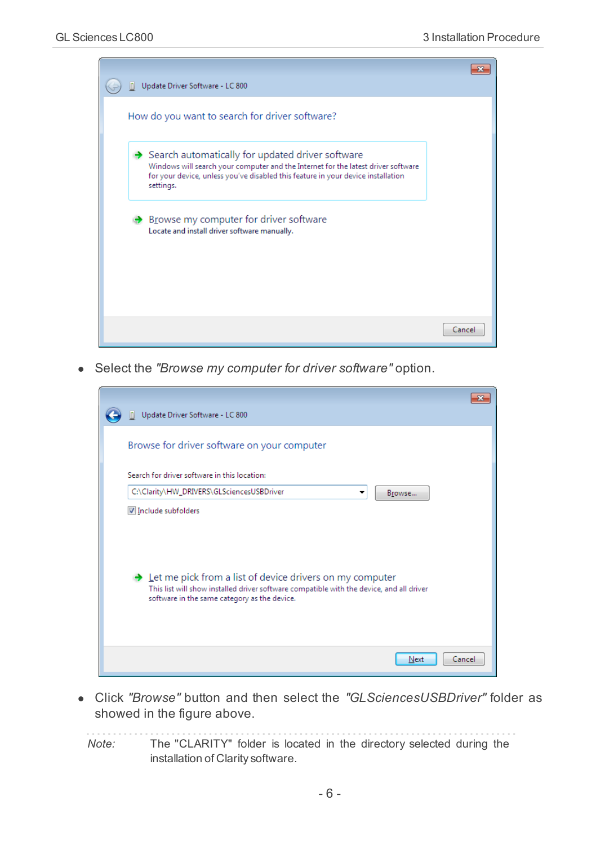

<sup>l</sup> Select the *"Browse my computer for driver software"* option.

| Update Driver Software - LC 800                                                                                                                                                                                    |        |
|--------------------------------------------------------------------------------------------------------------------------------------------------------------------------------------------------------------------|--------|
| Browse for driver software on your computer                                                                                                                                                                        |        |
| Search for driver software in this location:                                                                                                                                                                       |        |
| C:\Clarity\HW_DRIVERS\GLSciencesUSBDriver<br>Browse<br>▼                                                                                                                                                           |        |
| Include subfolders                                                                                                                                                                                                 |        |
| $\rightarrow$ Let me pick from a list of device drivers on my computer<br>This list will show installed driver software compatible with the device, and all driver<br>software in the same category as the device. |        |
| Next                                                                                                                                                                                                               | Cancel |

<sup>l</sup> Click *"Browse"* button and then select the *"GLSciencesUSBDriver"* folder as showed in the figure above.

*Note:* The "CLARITY" folder is located in the directory selected during the installation of Clarity software.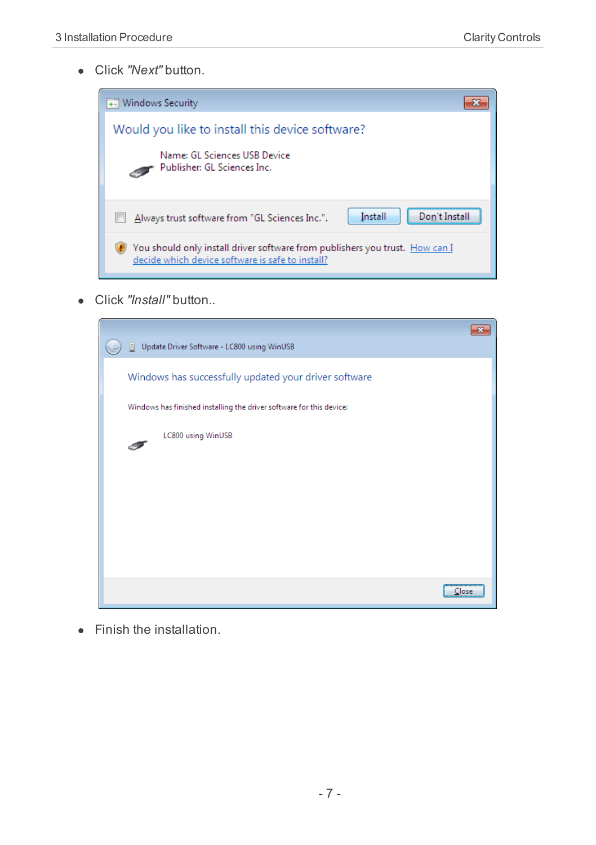**.** Click *"Next"* button.



**.** Click "Install" button..

| Update Driver Software - LC800 using WinUSB                                                                                   |  |
|-------------------------------------------------------------------------------------------------------------------------------|--|
| Windows has successfully updated your driver software<br>Windows has finished installing the driver software for this device: |  |
|                                                                                                                               |  |
| LC800 using WinUSB                                                                                                            |  |
|                                                                                                                               |  |
|                                                                                                                               |  |
|                                                                                                                               |  |
|                                                                                                                               |  |
|                                                                                                                               |  |
| Close                                                                                                                         |  |

 $\bullet$  Finish the installation.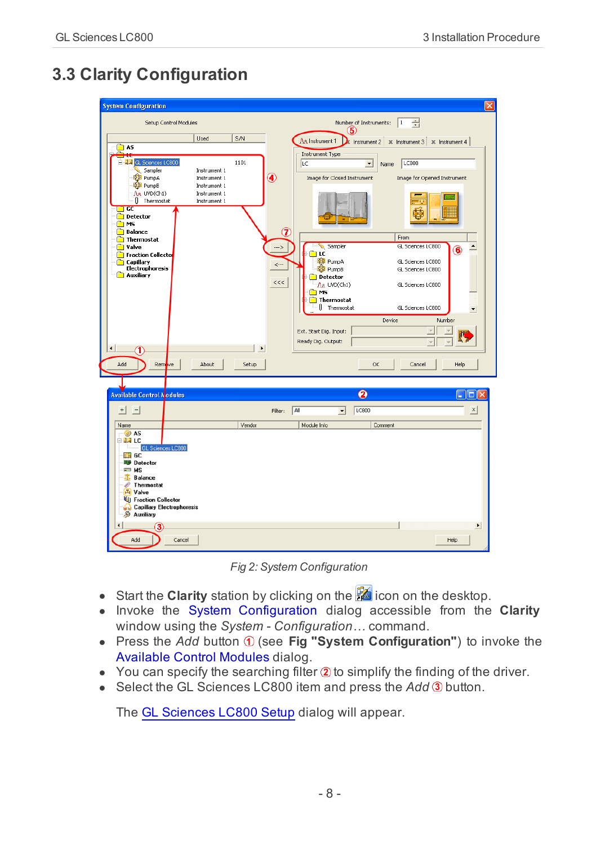## <span id="page-11-0"></span>**3.3 Clarity Configuration**

| <b>System Configuration</b>                                                                                                                                                                                                                                                                                                                |                                                                                           |                                                                                                                                                                                                                                                                                                                                                                                                                                                                                                                                     | ⊠ |
|--------------------------------------------------------------------------------------------------------------------------------------------------------------------------------------------------------------------------------------------------------------------------------------------------------------------------------------------|-------------------------------------------------------------------------------------------|-------------------------------------------------------------------------------------------------------------------------------------------------------------------------------------------------------------------------------------------------------------------------------------------------------------------------------------------------------------------------------------------------------------------------------------------------------------------------------------------------------------------------------------|---|
|                                                                                                                                                                                                                                                                                                                                            | Setup Control Modules                                                                     | ÷<br>Number of Instruments:<br>$1\,$<br>5.                                                                                                                                                                                                                                                                                                                                                                                                                                                                                          |   |
| <b>∩</b> AS                                                                                                                                                                                                                                                                                                                                | S/N<br>Used                                                                               | AA Instrument 1<br>k Instrument 2   $\pi$ Instrument 3   $\pi$ Instrument 4                                                                                                                                                                                                                                                                                                                                                                                                                                                         |   |
| ∼<br>⊷<br>END GL Sciences LC800<br>Sampler<br>00 PumpA<br><b>QO</b> PumpB<br>AA UVD(Ch1)<br>Thermostat<br>$\overline{\phantom{a}}$ GC<br><b>Detector</b><br>n<br>M <sub>5</sub><br>Ò<br><b>Balance</b><br>Thermostat<br>valve<br>◠<br><b>Fraction Collecto</b><br>Capillary<br>Electrophoresis<br>Auxiliary<br>$\left  \cdot \right $<br>1 | 1101<br>Instrument 1<br>Instrument 1<br>Instrument 1<br>Instrument 1<br>Instrument 1<br>٠ | Instrument Type<br>LC800<br><b>LC</b><br>$\overline{\phantom{a}}$<br>Name<br>⋒<br>Image for Closed Instrument<br>Image for Opened Instrument<br>7<br>From<br>Sampler<br>GL Sciences LC800<br>$\blacktriangle$<br>$\rightarrow$<br>6<br>n LC<br><b>RO</b> PumpA<br>GL Sciences LC800<br>$\leftarrow$<br><b>QO</b> PumpB<br>GL Sciences LC800<br>Detector<br>$<<$<br>AA UVD(Ch1)<br>GL Sciences LC800<br>ms D<br>Thermostat<br>Il Thermostat<br>GL Sciences LC800<br>Device<br>Number<br>Ext. Start Dig. Input:<br>Ready Dig. Output: |   |
| Remove<br>Add                                                                                                                                                                                                                                                                                                                              | About<br>Setup                                                                            | OK<br>Cancel<br>Help                                                                                                                                                                                                                                                                                                                                                                                                                                                                                                                |   |
|                                                                                                                                                                                                                                                                                                                                            |                                                                                           |                                                                                                                                                                                                                                                                                                                                                                                                                                                                                                                                     |   |
| <b>Available Control Modules</b>                                                                                                                                                                                                                                                                                                           |                                                                                           | 2<br>п                                                                                                                                                                                                                                                                                                                                                                                                                                                                                                                              |   |
| $+$  <br>$\overline{a}$                                                                                                                                                                                                                                                                                                                    |                                                                                           | LC800<br>$\times$<br>Filter: All<br>$\blacktriangledown$                                                                                                                                                                                                                                                                                                                                                                                                                                                                            |   |
| Name<br>O AS                                                                                                                                                                                                                                                                                                                               | Vendor                                                                                    | Module Info<br>Comment                                                                                                                                                                                                                                                                                                                                                                                                                                                                                                              |   |
| ⊟ ⊞≣ LC<br>GL Sciences LC800<br><b>THE GC</b><br><b>By</b> Detector<br>$\equiv$ MS<br><b>IL Balance</b><br>Thermostat<br>D<br>P Valve<br><b>ULI</b> Fraction Collector<br>Capillary Electrophoresis<br><b><i>S</i></b> Auxiliary<br>з<br>Add                                                                                               | Cancel                                                                                    | ٠<br>Help                                                                                                                                                                                                                                                                                                                                                                                                                                                                                                                           |   |

*Fig 2: System Configuration*

- <span id="page-11-3"></span>**Start the Clarity** station by clicking on the **interpellence** icon on the desktop.
- Invoke the System Configuration dialog accessible from the Clarity window using the *System - Configuration…* command.
- Press the *Add* button  $\odot$  (see Fig "System Configuration") to invoke the Available Control Modules dialog.
- <span id="page-11-2"></span><span id="page-11-1"></span> $\bullet$  You can specify the searching filter  $\circledast$  to simplify the finding of the driver.
- Select the GL Sciences LC800 item and press the *Add* 3 button.

The [GL](#page-13-0) [Sciences](#page-13-0) [LC800](#page-13-0) [Setup](#page-13-0) dialog will appear.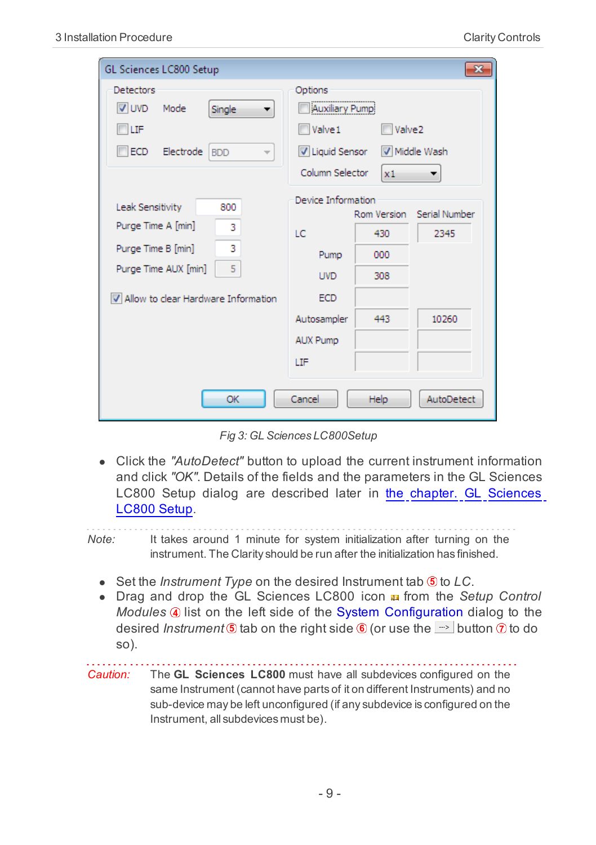| GL Sciences LC800 Setup                                                                                                                             |                                                                                                                                                          |                                |
|-----------------------------------------------------------------------------------------------------------------------------------------------------|----------------------------------------------------------------------------------------------------------------------------------------------------------|--------------------------------|
| Detectors<br>V UVD<br>Mode<br>Single<br><b>TILIF</b><br>Electrode<br>ECD.<br><b>BDD</b>                                                             | Options<br>Auxiliary Pump<br>Valve1<br>$\blacksquare$ Valve2<br>U Liquid Sensor<br>Middle Wash<br>Column Selector<br>x1                                  | ▼                              |
| Leak Sensitivity<br>800<br>Purge Time A [min]<br>3<br>3<br>Purge Time B [min]<br>5<br>Purge Time AUX [min]<br>V Allow to clear Hardware Information | Device Information<br>Rom Version<br>LC.<br>430<br>000<br>Pump<br>308<br><b>UVD</b><br><b>ECD</b><br>Autosampler<br>443<br><b>AUX Pump</b><br><b>ITF</b> | Serial Number<br>2345<br>10260 |
| OK                                                                                                                                                  | Cancel<br>Help                                                                                                                                           | AutoDetect                     |

*Fig 3: GL Sciences LC800Setup*

• Click the "AutoDetect" button to upload the current instrument information and click *"OK"*. Details of the fields and the parameters in the GL Sciences LC800 Setup dialog are described later in [the](#page-13-0) [chapter.](#page-13-0) [GL](#page-13-0) [Sciences](#page-13-0) [LC800](#page-13-0) [Setup.](#page-13-0)

*Note:* It takes around 1 minute for system initialization after turning on the instrument. The Clarity should be run after the initialization has finished.

- <span id="page-12-1"></span><span id="page-12-0"></span>**.** Set the *Instrument Type* on the desired Instrument tab **6** to *LC*.
- **•** Drag and drop the GL Sciences LC800 icon **a** from the *Setup Control Modules*  $\circled{a}$  list on the left side of the System Configuration dialog to the desired *Instrument*  $\circledast$  tab on the right side  $\circledast$  (or use the  $\Rightarrow$  button  $\circledast$  to do so).

*Caution:* The **GL Sciences LC800** must have all subdevices configured on the same Instrument (cannot have parts of it on different Instruments) and no sub-device may be left unconfigured (if any subdevice is configured on the Instrument, all subdevices must be).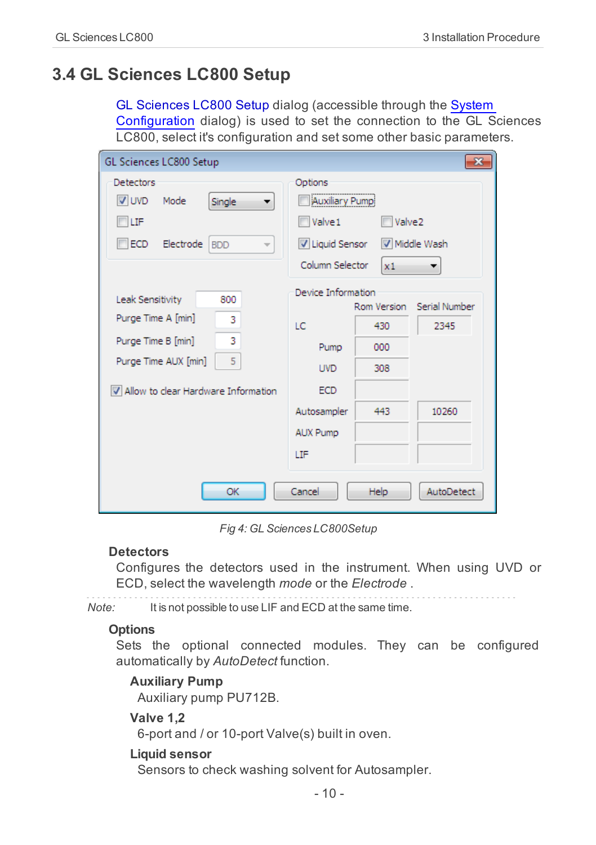## <span id="page-13-1"></span><span id="page-13-0"></span>**3.4 GL Sciences LC800 Setup**

GL Sciences LC800 Setup dialog (accessible through the [System](#page-11-0) [Configuration](#page-11-0) dialog) is used to set the connection to the GL Sciences LC800, select it's configuration and set some other basic parameters.

| Detectors<br>Options<br><br>V UVD<br>Auxiliary Pump<br>Mode<br><b>Single</b><br>Valve1<br>LIF<br>Electrode<br>V Liquid Sensor<br>ECD.<br><b>BDD</b><br>$\overline{\phantom{a}}$<br>Column Selector<br>Device Information<br>Leak Sensitivity<br>800<br>Purge Time A [min]<br>3<br>LC<br>3<br>Purge Time B [min]<br>Pump<br>5<br>Purge Time AUX [min]<br><b>UVD</b> | Valve2<br>Middle Wash                                     |            |
|--------------------------------------------------------------------------------------------------------------------------------------------------------------------------------------------------------------------------------------------------------------------------------------------------------------------------------------------------------------------|-----------------------------------------------------------|------------|
|                                                                                                                                                                                                                                                                                                                                                                    | x1                                                        |            |
| <b>ECD</b><br>V Allow to clear Hardware Information                                                                                                                                                                                                                                                                                                                | Serial Number<br>Rom Version<br>2345<br>430<br>000<br>308 |            |
| Autosampler<br><b>AUX Pump</b><br>LIF<br>Cancel<br>OK<br>Help.                                                                                                                                                                                                                                                                                                     | 10260<br>443                                              | AutoDetect |

*Fig 4: GL Sciences LC800Setup*

#### <span id="page-13-3"></span>**Detectors**

Configures the detectors used in the instrument. When using UVD or ECD, select the wavelength *mode* or the *Electrode* .

*Note:* It is not possible to use LIF and ECD at the same time.

#### <span id="page-13-5"></span>**Options**

Sets the optional connected modules. They can be configured automatically by *AutoDetect* function.

#### <span id="page-13-2"></span>**Auxiliary Pump**

<span id="page-13-6"></span>Auxiliary pump PU712B.

#### **Valve 1,2**

<span id="page-13-4"></span>6-port and / or 10-port Valve(s) built in oven.

#### **Liquid sensor**

Sensors to check washing solvent for Autosampler.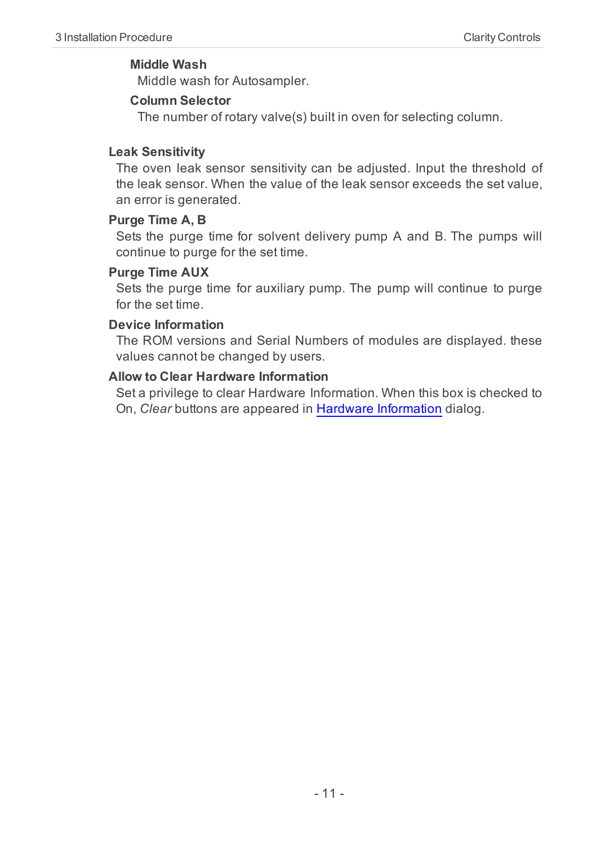#### <span id="page-14-4"></span>**Middle Wash**

<span id="page-14-1"></span>Middle wash for Autosampler.

#### **Column Selector**

The number of rotary valve(s) built in oven for selecting column.

#### <span id="page-14-3"></span>**Leak Sensitivity**

The oven leak sensor sensitivity can be adjusted. Input the threshold of the leak sensor. When the value of the leak sensor exceeds the set value, an error is generated.

#### <span id="page-14-5"></span>**Purge Time A, B**

Sets the purge time for solvent delivery pump A and B. The pumps will continue to purge for the set time.

#### <span id="page-14-6"></span>**Purge Time AUX**

Sets the purge time for auxiliary pump. The pump will continue to purge for the set time.

#### <span id="page-14-2"></span>**Device Information**

The ROM versions and Serial Numbers of modules are displayed. these values cannot be changed by users.

#### <span id="page-14-0"></span>**Allow to Clear Hardware Information**

Set a privilege to clear Hardware Information. When this box is checked to On, *Clear* buttons are appeared in [Hardware](#page-15-1) [Information](#page-15-1) dialog.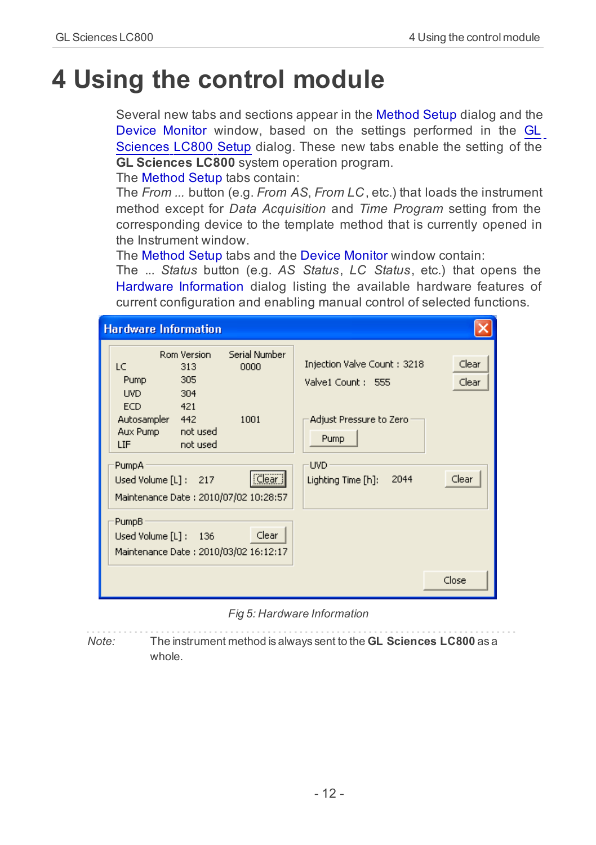## <span id="page-15-1"></span><span id="page-15-0"></span>**4 Using the control module**

Several new tabs and sections appear in the Method Setup dialog and the Device Monitor window, based on the settings performed in the [GL](#page-13-1) [Sciences](#page-13-1) [LC800](#page-13-1) [Setup](#page-13-1) dialog. These new tabs enable the setting of the **GL Sciences LC800** system operation program.

<span id="page-15-3"></span>The Method Setup tabs contain:

The *From ...* button (e.g. *From AS*, *From LC*, etc.) that loads the instrument method except for *Data Acquisition* and *Time Program* setting from the corresponding device to the template method that is currently opened in the Instrument window.

<span id="page-15-2"></span>The Method Setup tabs and the Device Monitor window contain:

The ... *Status* button (e.g. *AS Status*, *LC Status*, etc.) that opens the Hardware Information dialog listing the available hardware features of current configuration and enabling manual control of selected functions.

| <b>Hardware Information</b>                                                          |                       |                                                  |                |
|--------------------------------------------------------------------------------------|-----------------------|--------------------------------------------------|----------------|
| Rom Version<br>LC<br>313<br>305<br>Pump<br>UVD.<br>304<br>ECD.<br>421                | Serial Number<br>0000 | Injection Valve Count: 3218<br>Valve1 Count: 555 | Clear<br>Clear |
| Autosampler 442<br>not used<br>Aux Pump<br>not used<br>LIF                           | 1001                  | Adjust Pressure to Zero<br>Pump                  |                |
| PumpA <sup>®</sup><br>Used Volume [L]: 217<br>Maintenance Date : 2010/07/02 10:28:57 | Clear                 | <b>UVD</b><br>2044<br>Lighting Time [h]:         | Clear          |
| PumpB<br>Used Volume [L] :<br>136<br>Maintenance Date : 2010/03/02 16:12:17          | Clear                 |                                                  |                |
|                                                                                      |                       |                                                  | Close          |

*Fig 5: Hardware Information*

*Note:* The instrument method is always sent to the **GL Sciences LC800** as a whole.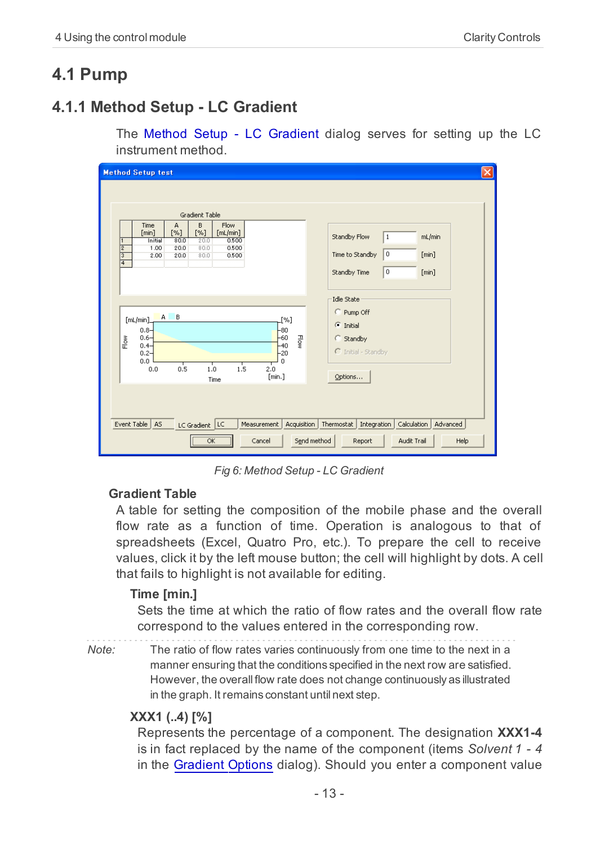## <span id="page-16-1"></span><span id="page-16-0"></span>**4.1 Pump**

## **4.1.1 Method Setup - LC Gradient**

The Method Setup - LC Gradient dialog serves for setting up the LC instrument method.

| <b>Method Setup test</b>                                                                                                                                                                                                                                                                                                                                                                                                                                | $\vert \mathsf{x} \vert$                                                                                                                                                                                    |
|---------------------------------------------------------------------------------------------------------------------------------------------------------------------------------------------------------------------------------------------------------------------------------------------------------------------------------------------------------------------------------------------------------------------------------------------------------|-------------------------------------------------------------------------------------------------------------------------------------------------------------------------------------------------------------|
| Gradient Table<br>B<br>Flow<br>А<br>Time<br>$[\%]$<br>[min]<br>$[\%]$<br>[ml/min]<br>0.500<br>80.0<br>20.0<br>Initial<br>т<br>20.0<br>80.0<br>0.500<br>$\overline{2}$<br>1.00<br>3<br>80.0<br>2.00<br>20.0<br>0.500<br>$\overline{4}$<br>A B<br>[ml/min]<br>[%]<br>$-80$<br>$0.8 -$<br>$-60$<br>공<br>$0.6 -$<br>$\mathsf{Flow}$<br>$0.4 -$<br>$-40$<br>$0.2 -$<br>$-20$<br>0.0<br>0<br>┱<br>т<br>1.5<br>т<br>0.5<br>0.0<br>1.0<br>2.0<br>[min.]<br>Time | Standby Flow<br>mL/min<br>$\mathbf{1}$<br>0<br>Time to Standby<br>[min]<br>$\,0$<br>Standby Time<br>[min]<br>Idle State<br>C Pump Off<br>$\subseteq$ Initial<br>C Standby<br>C Initial - Standby<br>Options |
| Event Table<br>A <sub>S</sub><br>LC Gradient LC<br>Measurement<br>Acquisition<br>$\alpha$<br>Cancel                                                                                                                                                                                                                                                                                                                                                     | Calculation<br>Thermostat<br>Integration<br>Advanced<br>Audit Trail<br>Send method<br>Report<br>Help                                                                                                        |

*Fig 6: Method Setup - LC Gradient*

#### <span id="page-16-2"></span>**Gradient Table**

A table for setting the composition of the mobile phase and the overall flow rate as a function of time. Operation is analogous to that of spreadsheets (Excel, Quatro Pro, etc.). To prepare the cell to receive values, click it by the left mouse button; the cell will highlight by dots. A cell that fails to highlight is not available for editing.

#### <span id="page-16-4"></span>**Time [min.]**

Sets the time at which the ratio of flow rates and the overall flow rate correspond to the values entered in the corresponding row.

*Note:* The ratio of flow rates varies continuously from one time to the next in a manner ensuring that the conditions specified in the next row are satisfied. However, the overall flow rate does not change continuously as illustrated in the graph. It remains constant until next step.

#### <span id="page-16-5"></span><span id="page-16-3"></span>**XXX1 (..4) [%]**

Represents the percentage of a component. The designation **XXX1-4** is in fact replaced by the name of the component (items *Solvent 1 - 4* in the [Gradient](#page-19-0) [Options](#page-19-0) dialog). Should you enter a component value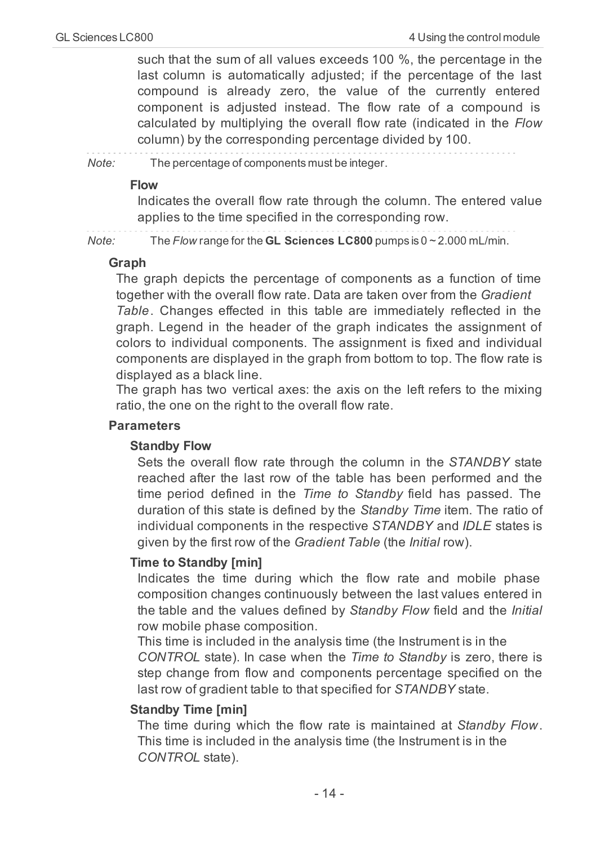such that the sum of all values exceeds 100 %, the percentage in the last column is automatically adjusted; if the percentage of the last compound is already zero, the value of the currently entered component is adjusted instead. The flow rate of a compound is calculated by multiplying the overall flow rate (indicated in the *Flow* column) by the corresponding percentage divided by 100.

*Note:* The percentage of components must be integer.

#### <span id="page-17-0"></span>**Flow**

Indicates the overall flow rate through the column. The entered value applies to the time specified in the corresponding row.

*Note:* The *Flow* range for the **GL Sciences LC800** pumps is 0 ~ 2.000 mL/min.

#### <span id="page-17-1"></span>**Graph**

The graph depicts the percentage of components as a function of time together with the overall flow rate. Data are taken over from the *Gradient Table*. Changes effected in this table are immediately reflected in the graph. Legend in the header of the graph indicates the assignment of colors to individual components. The assignment is fixed and individual components are displayed in the graph from bottom to top. The flow rate is displayed as a black line.

The graph has two vertical axes: the axis on the left refers to the mixing ratio, the one on the right to the overall flow rate.

#### <span id="page-17-2"></span>**Parameters**

#### <span id="page-17-3"></span>**Standby Flow**

Sets the overall flow rate through the column in the *STANDBY* state reached after the last row of the table has been performed and the time period defined in the *Time to Standby* field has passed. The duration of this state is defined by the *Standby Time* item. The ratio of individual components in the respective *STANDBY* and *IDLE* states is given by the first row of the *Gradient Table* (the *Initial* row).

#### <span id="page-17-5"></span>**Time to Standby [min]**

Indicates the time during which the flow rate and mobile phase composition changes continuously between the last values entered in the table and the values defined by *Standby Flow* field and the *Initial* row mobile phase composition.

This time is included in the analysis time (the Instrument is in the *CONTROL* state). In case when the *Time to Standby* is zero, there is step change from flow and components percentage specified on the last row of gradient table to that specified for *STANDBY* state.

#### <span id="page-17-4"></span>**Standby Time [min]**

The time during which the flow rate is maintained at *Standby Flow*. This time is included in the analysis time (the Instrument is in the *CONTROL* state).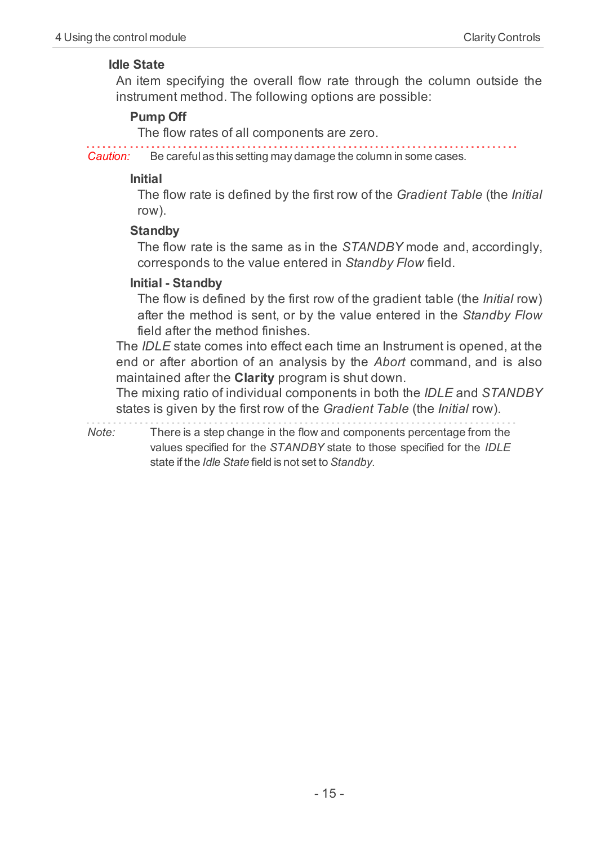#### <span id="page-18-1"></span>**Idle State**

An item specifying the overall flow rate through the column outside the instrument method. The following options are possible:

#### <span id="page-18-4"></span>**Pump Off**

The flow rates of all components are zero.

*Caution:* Be careful as this setting may damage the column in some cases.

#### <span id="page-18-2"></span>**Initial**

The flow rate is defined by the first row of the *Gradient Table* (the *Initial* row).

#### <span id="page-18-5"></span>**Standby**

The flow rate is the same as in the *STANDBY* mode and, accordingly, corresponds to the value entered in *Standby Flow* field.

#### <span id="page-18-3"></span>**Initial - Standby**

The flow is defined by the first row of the gradient table (the *Initial* row) after the method is sent, or by the value entered in the *Standby Flow* field after the method finishes.

<span id="page-18-0"></span>The *IDLE* state comes into effect each time an Instrument is opened, at the end or after abortion of an analysis by the *Abort* command, and is also maintained after the **Clarity** program is shut down.

The mixing ratio of individual components in both the *IDLE* and *STANDBY* states is given by the first row of the *Gradient Table* (the *Initial* row).

*Note:* There is a step change in the flow and components percentage from the values specified for the *STANDBY* state to those specified for the *IDLE* state if the *Idle State* field is not set to *Standby*.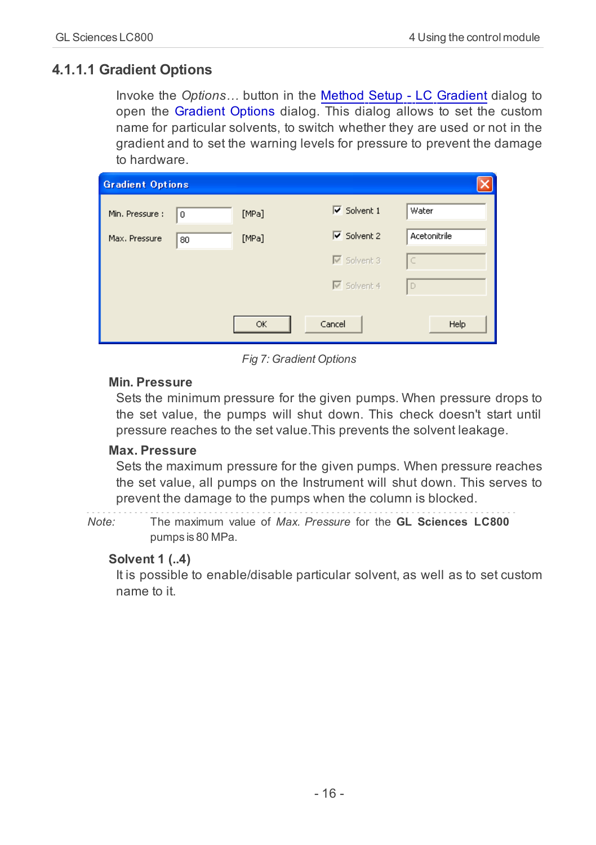## <span id="page-19-0"></span>**4.1.1.1 Gradient Options**

<span id="page-19-3"></span>Invoke the *Options…* button in the [Method](#page-16-0) [Setup](#page-16-0) [-](#page-16-0) [LC](#page-16-0) [Gradient](#page-16-0) dialog to open the Gradient Options dialog. This dialog allows to set the custom name for particular solvents, to switch whether they are used or not in the gradient and to set the warning levels for pressure to prevent the damage to hardware.

| <b>Gradient Options</b> |    |       |                                      |              |
|-------------------------|----|-------|--------------------------------------|--------------|
| Min. Pressure :         | 0  | [MPa] | $\overline{\mathsf{v}}$ Solvent 1    | Water        |
| Max. Pressure           | 80 | [MPa] | $\overline{\triangledown}$ Solvent 2 | Acetonitrile |
|                         |    |       | $\overline{\triangledown}$ Solvent 3 | Iс           |
|                         |    |       | $\overline{\triangledown}$ Solvent 4 | I D          |
|                         |    |       |                                      |              |
|                         |    | OK    | Cancel                               | Help         |

*Fig 7: Gradient Options*

#### <span id="page-19-2"></span>**Min. Pressure**

Sets the minimum pressure for the given pumps. When pressure drops to the set value, the pumps will shut down. This check doesn't start until pressure reaches to the set value.This prevents the solvent leakage.

#### <span id="page-19-1"></span>**Max. Pressure**

Sets the maximum pressure for the given pumps. When pressure reaches the set value, all pumps on the Instrument will shut down. This serves to prevent the damage to the pumps when the column is blocked.

*Note:* The maximum value of *Max. Pressure* for the **GL Sciences LC800** pumps is 80 MPa.

#### <span id="page-19-4"></span>**Solvent 1 (..4)**

It is possible to enable/disable particular solvent, as well as to set custom name to it.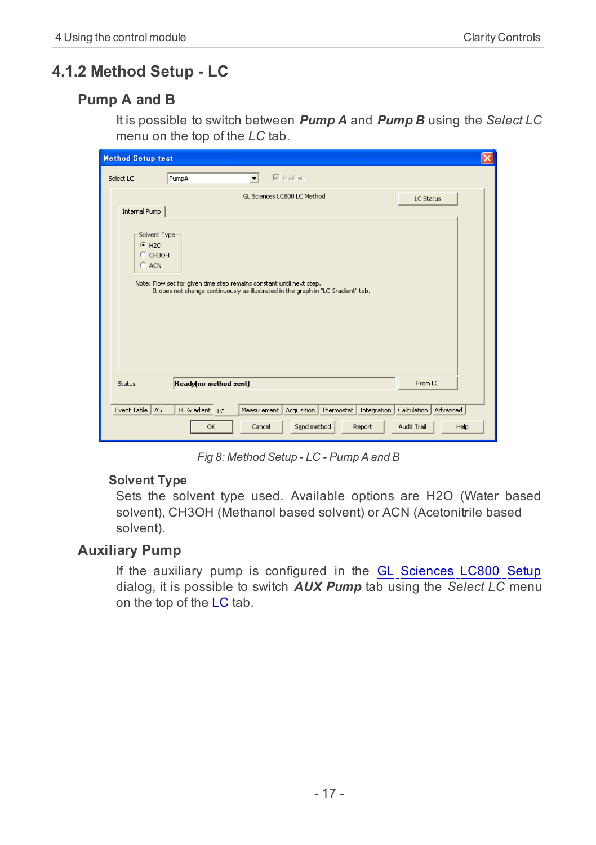## <span id="page-20-0"></span>**4.1.2 Method Setup - LC**

## <span id="page-20-2"></span>**Pump A and B**

<span id="page-20-3"></span>It is possible to switch between *Pump A* and *Pump B* using the *Select LC* menu on the top of the *LC* tab.

| <b>Method Setup test</b>                                                                                                                                                                                               | ×                       |
|------------------------------------------------------------------------------------------------------------------------------------------------------------------------------------------------------------------------|-------------------------|
| $\nabla$ Enabled<br>PumpA<br>Select LC<br>$\overline{\phantom{a}}$                                                                                                                                                     |                         |
| GL Sciences LC800 LC Method                                                                                                                                                                                            | LC Status               |
| Internal Pump                                                                                                                                                                                                          |                         |
| Solvent Type<br>$F$ H <sub>2O</sub><br>$C$ CH3OH<br>C ACN<br>Note: Flow set for given time step remains constant until next step.<br>It does not change continuously as illustrated in the graph in "LC Gradient" tab. |                         |
| Ready(no method sent)<br>Status                                                                                                                                                                                        | From LC                 |
|                                                                                                                                                                                                                        |                         |
| Event Table<br>AS<br>LC Gradient<br>Measurement<br>Acquisition<br>Thermostat  <br>Integration<br>LC                                                                                                                    | Calculation<br>Advanced |
| Send method<br>OK<br>Cancel<br>Report                                                                                                                                                                                  | Audit Trail<br>Help     |

*Fig 8: Method Setup - LC - Pump A and B*

#### <span id="page-20-4"></span>**Solvent Type**

Sets the solvent type used. Available options are H2O (Water based solvent), CH3OH (Methanol based solvent) or ACN (Acetonitrile based solvent).

## <span id="page-20-1"></span>**Auxiliary Pump**

If the auxiliary pump is configured in the [GL](#page-13-1) [Sciences](#page-13-1) [LC800](#page-13-1) [Setup](#page-13-1) dialog, it is possible to switch *AUX Pump* tab using the *Select LC* menu on the top of the LC tab.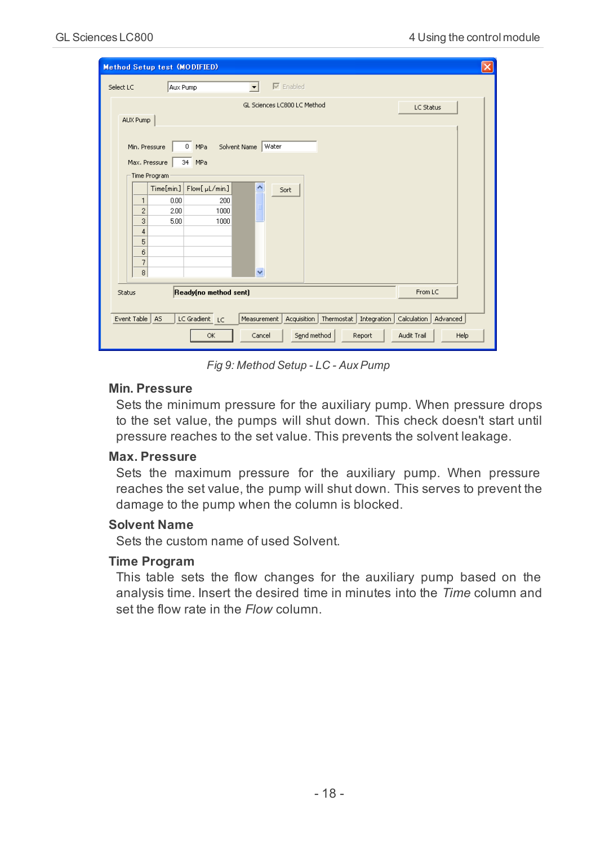<span id="page-21-0"></span>

| <b>Method Setup test (MODIFIED)</b><br>×                                                                                                |
|-----------------------------------------------------------------------------------------------------------------------------------------|
| $\nabla$ Enabled<br>Select LC<br>Aux Pump<br>$\overline{\phantom{a}}$                                                                   |
| GL Sciences LC800 LC Method<br>LC Status<br>AUX Pump                                                                                    |
| Water<br>Solvent Name<br>$\overline{0}$<br>Min. Pressure<br>MPa<br>Max. Pressure<br>34 MPa                                              |
| Time Program                                                                                                                            |
| $\overline{\phantom{a}}$<br>Time[min.]<br>Flow[ µL/min.]<br>Sort                                                                        |
| 0.00<br>200<br>$\mathbf{1}$                                                                                                             |
| $\overline{c}$<br>2.00<br>1000                                                                                                          |
| 3<br>5.00<br>1000                                                                                                                       |
| $\overline{4}$                                                                                                                          |
| 5                                                                                                                                       |
| 6                                                                                                                                       |
| 7<br>v<br>$^{\rm 8}$                                                                                                                    |
|                                                                                                                                         |
| Ready(no method sent)<br>From LC<br>Status                                                                                              |
|                                                                                                                                         |
| Event Table<br>A <sub>S</sub><br>LC Gradient LC<br>Thermostat  <br>Integration<br>Calculation<br>Advanced<br>Measurement<br>Acquisition |
| Send method<br>Audit Trail<br>Report<br>Help<br>OK<br>Cancel                                                                            |

*Fig 9: Method Setup - LC - AuxPump*

#### <span id="page-21-2"></span>**Min. Pressure**

Sets the minimum pressure for the auxiliary pump. When pressure drops to the set value, the pumps will shut down. This check doesn't start until pressure reaches to the set value. This prevents the solvent leakage.

#### <span id="page-21-1"></span>**Max. Pressure**

Sets the maximum pressure for the auxiliary pump. When pressure reaches the set value, the pump will shut down. This serves to prevent the damage to the pump when the column is blocked.

#### <span id="page-21-3"></span>**Solvent Name**

<span id="page-21-4"></span>Sets the custom name of used Solvent.

#### **Time Program**

This table sets the flow changes for the auxiliary pump based on the analysis time. Insert the desired time in minutes into the *Time* column and set the flow rate in the *Flow* column.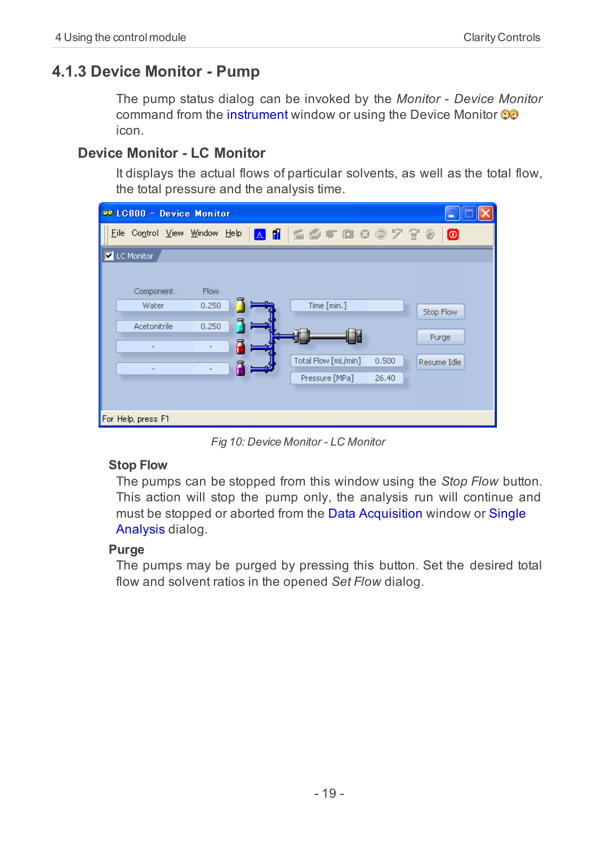## <span id="page-22-0"></span>**4.1.3 Device Monitor - Pump**

<span id="page-22-1"></span>The pump status dialog can be invoked by the *Monitor - Device Monitor* command from the instrument window or using the Device Monitor icon.

### **Device Monitor - LC Monitor**

It displays the actual flows of particular solvents, as well as the total flow, the total pressure and the analysis time.

| 00 LC800 - Device Monitor          |                               |                                                                        |                                   |
|------------------------------------|-------------------------------|------------------------------------------------------------------------|-----------------------------------|
| Control View Window Help<br>File   |                               | △11 ≦彡● □ ○ ◎ アぞ ◎                                                     | $\bullet$                         |
| LC Monitor                         |                               |                                                                        |                                   |
| Component<br>Water<br>Acetonitrile | <b>Flow</b><br>0.250<br>0.250 | Time [min.]<br>Total Flow [mL/min]<br>0.500<br>Pressure [MPa]<br>26.40 | Stop Flow<br>Purge<br>Resume Idle |
| For Help, press F1                 |                               |                                                                        |                                   |

*Fig 10: Device Monitor - LC Monitor*

#### <span id="page-22-3"></span>**Stop Flow**

The pumps can be stopped from this window using the *Stop Flow* button. This action will stop the pump only, the analysis run will continue and must be stopped or aborted from the Data Acquisition window or Single Analysis dialog.

#### <span id="page-22-2"></span>**Purge**

The pumps may be purged by pressing this button. Set the desired total flow and solvent ratios in the opened *Set Flow* dialog.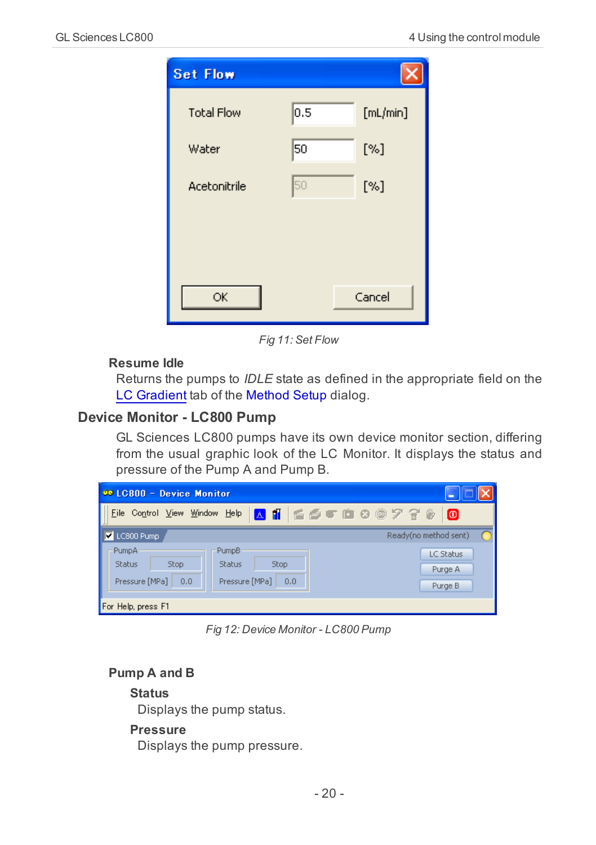

*Fig 11: Set Flow*

#### <span id="page-23-1"></span>**Resume Idle**

Returns the pumps to *IDLE* state as defined in the appropriate field on the [LC](#page-16-0) [Gradient](#page-16-0) tab of the Method Setup dialog.

#### **Device Monitor - LC800 Pump**

GL Sciences LC800 pumps have its own device monitor section, differing from the usual graphic look of the LC Monitor. It displays the status and pressure of the Pump A and Pump B.

| 00 LC800 - Device Monitor                                                         | г                                                                       |
|-----------------------------------------------------------------------------------|-------------------------------------------------------------------------|
| File                                                                              | Control View Window Help A 1 6 6 7 8 8 2 7 8 8<br>l o                   |
| LC800 Pump                                                                        | Ready(no method sent)                                                   |
| PumpA<br><b>PumpB</b><br>Stop<br><b>Status</b><br>Status<br>Pressure [MPa]<br>0,0 | LC Status<br><b>Stop</b><br>Purge A<br>Pressure [MPa]<br>0,0<br>Purge B |
| For Help, press F1                                                                |                                                                         |

*Fig 12: Device Monitor - LC800 Pump*

#### <span id="page-23-0"></span>**Pump A and B**

#### **Status**

Displays the pump status.

#### **Pressure**

Displays the pump pressure.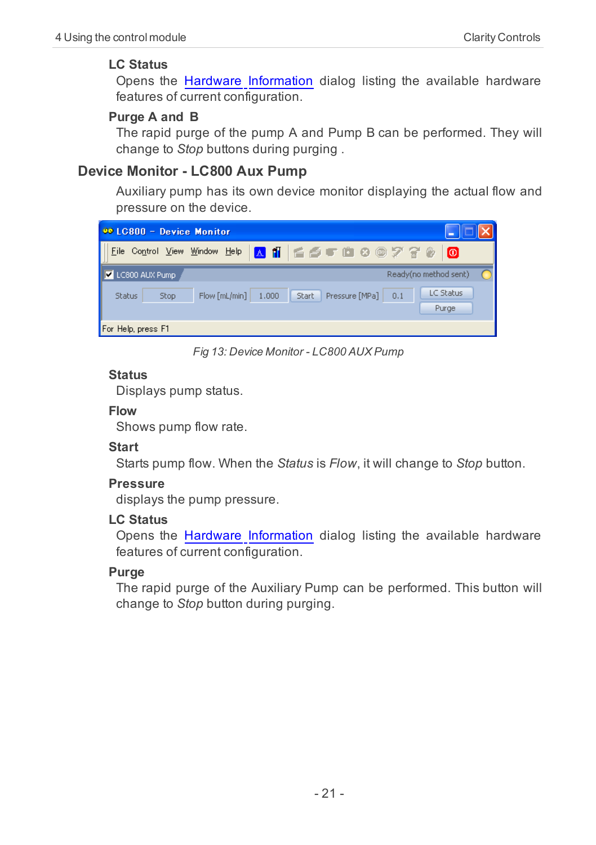#### <span id="page-24-0"></span>**LC Status**

Opens the [Hardware](#page-15-1) [Information](#page-15-1) dialog listing the available hardware features of current configuration.

#### <span id="page-24-2"></span>**Purge A and B**

The rapid purge of the pump A and Pump B can be performed. They will change to *Stop* buttons during purging .

## **Device Monitor - LC800 Aux Pump**

Auxiliary pump has its own device monitor displaying the actual flow and pressure on the device.

| 00 LC800 - Device Monitor |                                                                                       |
|---------------------------|---------------------------------------------------------------------------------------|
| File                      | Control View Window Help A 1   白色 5 面 8 @ 2 子 8 @<br>l o                              |
| LC800 AUX Pump<br> ⊽      | Ready(no method sent)                                                                 |
| <b>Status</b><br>Stop     | <b>LC Status</b><br>Pressure [MPa]<br>Flow [mL/min]<br>1.000<br>Start<br>0.1<br>Purge |
| For Help, press F1        |                                                                                       |

*Fig 13: Device Monitor - LC800 AUX Pump*

#### **Status**

Displays pump status.

#### **Flow**

<span id="page-24-3"></span>Shows pump flow rate.

#### **Start**

Starts pump flow. When the *Status* is *Flow*, it will change to *Stop* button.

#### **Pressure**

displays the pump pressure.

#### **LC Status**

Opens the [Hardware](#page-15-1) [Information](#page-15-1) dialog listing the available hardware features of current configuration.

#### <span id="page-24-1"></span>**Purge**

The rapid purge of the Auxiliary Pump can be performed. This button will change to *Stop* button during purging.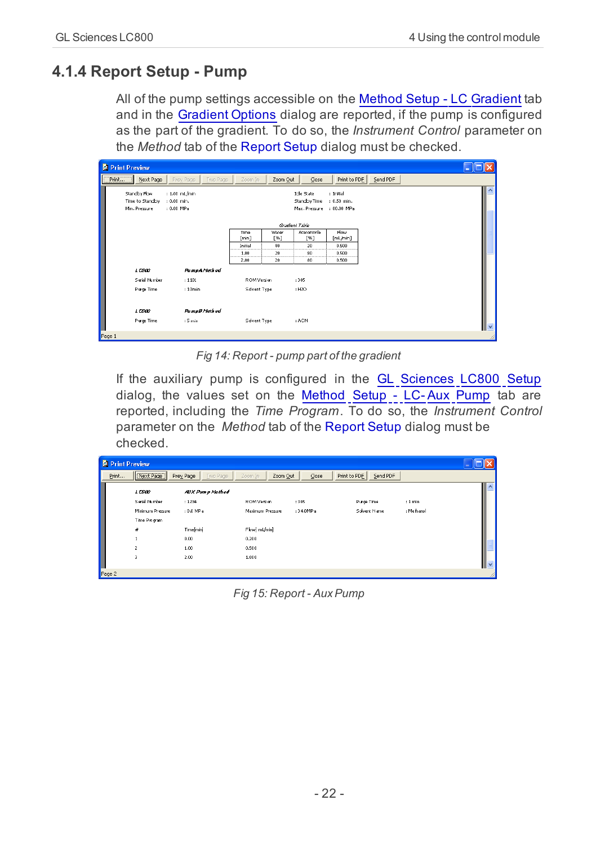## <span id="page-25-0"></span>**4.1.4 Report Setup - Pump**

<span id="page-25-1"></span>All of the pump settings accessible on the [Method](#page-16-0) [Setup](#page-16-0) [-](#page-16-0) [LC](#page-16-0) [Gradient](#page-16-0) tab and in the [Gradient](#page-19-0) [Options](#page-19-0) dialog are reported, if the pump is configured as the part of the gradient. To do so, the *Instrument Control* parameter on the *Method* tab of the Report Setup dialog must be checked.

| <b>C</b> Print Preview |                                                 |                                              |                        |               |                                                    |                                           |          |              |
|------------------------|-------------------------------------------------|----------------------------------------------|------------------------|---------------|----------------------------------------------------|-------------------------------------------|----------|--------------|
| Pint                   | Next Page                                       | Prey Page<br><b>Iwo Page</b>                 | Zoom In                | Zoom Out      | $\mathsf{Close}$                                   | Print to PDE                              | Send PDF |              |
|                        | Standby How<br>Time to Standby<br>Min. Pressure | $: 1.00$ mL/min<br>: 0.00 min.<br>: 0.00 MPa |                        |               | <b>Idle State</b><br>Standby Time<br>Max. Pressure | : Initial<br>$: 0.50$ min.<br>: 80.00 MPa |          | ۸            |
|                        |                                                 |                                              |                        |               | Gradient Table                                     |                                           |          |              |
|                        |                                                 |                                              | Time<br>[min]          | Water<br>[96] | Acetonitrile<br>[96]                               | <b>Flow</b><br>[ml/min]                   |          |              |
|                        |                                                 |                                              | Initial<br>            | 80<br>        | 20<br>                                             | 0.500<br>                                 |          |              |
|                        |                                                 |                                              | 1.00<br>-------------- | 20<br>        | 80<br>                                             | 0.500<br>---------------                  |          |              |
|                        |                                                 |                                              | 2.00                   | 20            | 80                                                 | 0.500                                     |          |              |
|                        | 1CSD                                            | PampA Method                                 |                        |               |                                                    |                                           |          |              |
|                        | Serial Number                                   | : 1101                                       | ROM Version            |               | :305                                               |                                           |          |              |
|                        | Purge Time                                      | : 10min                                      | Solvent Type           |               | : H2O                                              |                                           |          |              |
|                        | 1CSD                                            | PampB Method                                 |                        |               |                                                    |                                           |          |              |
|                        | Purge Time                                      | : 5 min                                      | Solvent Type           |               | : ACN                                              |                                           |          | $\checkmark$ |
| Page 1                 |                                                 |                                              |                        |               |                                                    |                                           |          |              |

*Fig 14: Report - pump part of the gradient*

If the auxiliary pump is configured in the [GL](#page-13-1) [Sciences](#page-13-1) [LC800](#page-13-1) [Setup](#page-13-1) dialog, the values set on the [Method](#page-21-0) [Setup](#page-21-0) [-](#page-21-0) [LC-](#page-21-0) [Aux](#page-21-0) [Pump](#page-21-0) tab are reported, including the *Time Program*. To do so, the *Instrument Control* parameter on the *Method* tab of the Report Setup dialog must be checked.

| <b>C</b> Print Preview |                                                                                                       |                                                                             |                                                                            |                     |                            |                       |              |
|------------------------|-------------------------------------------------------------------------------------------------------|-----------------------------------------------------------------------------|----------------------------------------------------------------------------|---------------------|----------------------------|-----------------------|--------------|
| Print                  | Next Page                                                                                             | <b>Iwo Page</b><br>Prey Page                                                | Zoom Out<br>Zoom In                                                        | $\mathsf{Close}$    | Send PDF<br>Print to PDE   |                       |              |
|                        | 1C500<br>Serial Number<br>Minimum Pressure<br>Time Program<br>$\boldsymbol{H}$<br>$\overline{z}$<br>3 | AUX Pamp Method<br>: 1234<br>: 0.0 MPa<br>Time[min]<br>0.00<br>1.00<br>2.00 | ROM Version<br>Maximum Pressure<br>Flow[mL/min]<br>0.200<br>0.500<br>1,000 | : 305<br>: 34.0MP a | Purge Time<br>Schrent Name | : 1 min<br>: Methanol | $\checkmark$ |
| Page 2                 |                                                                                                       |                                                                             |                                                                            |                     |                            |                       |              |

*Fig 15: Report - AuxPump*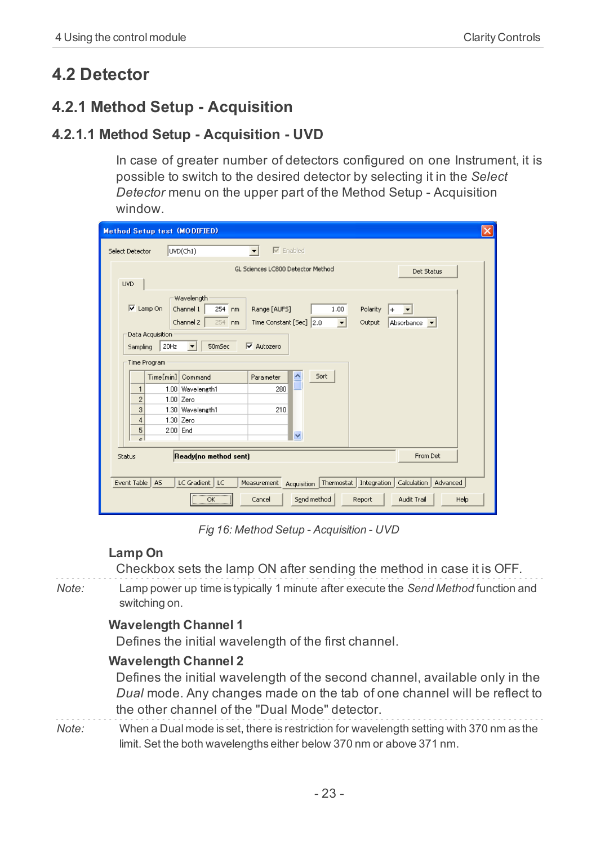## <span id="page-26-1"></span><span id="page-26-0"></span>**4.2 Detector**

## <span id="page-26-2"></span>**4.2.1 Method Setup - Acquisition**

## **4.2.1.1 Method Setup - Acquisition - UVD**

<span id="page-26-4"></span>In case of greater number of detectors configured on one Instrument, it is possible to switch to the desired detector by selecting it in the *Select Detector* menu on the upper part of the Method Setup - Acquisition window.

| <b>Method Setup test (MODIFIED)</b>                                                                                                                                                                                            |
|--------------------------------------------------------------------------------------------------------------------------------------------------------------------------------------------------------------------------------|
| $\nabla$ Enabled<br>UVD(Ch1)<br>Select Detector                                                                                                                                                                                |
| GL Sciences LC800 Detector Method<br>Det Status<br><b>UVD</b>                                                                                                                                                                  |
| Wavelength<br>$\overline{v}$<br>Lamp On<br>254 nm<br>1.00<br>Channel 1<br>Range [AUF5]<br>Polarity<br>Channel 2<br>254 nm<br>Time Constant [Sec] 2.0<br>$\overline{\phantom{a}}$<br>Output<br>Absorbance v<br>Data Acquisition |
| $\nabla$ Autozero<br>50mSec<br>20Hz<br>Sampling<br>$\overline{\phantom{a}}$<br>Time Program                                                                                                                                    |
| Time[min]<br>×<br>Sort<br>Command<br>Parameter                                                                                                                                                                                 |
| 1.00 Wavelength1<br>280<br>1                                                                                                                                                                                                   |
| $\overline{c}$<br>$1.00$ Zero                                                                                                                                                                                                  |
| 3<br>1.30 Wavelength1<br>210                                                                                                                                                                                                   |
| $\overline{4}$<br>1.30 Zero                                                                                                                                                                                                    |
| 5<br>2.00 End<br>$\ddotmark$<br>$\overline{a}$                                                                                                                                                                                 |
| Ready(no method sent)<br>From Det<br>Status                                                                                                                                                                                    |
| Event Table<br>A <sub>5</sub><br>LC Gradient   LC<br>Thermostat   Integration  <br>Calculation<br>Advanced<br>Measurement<br>Acquisition                                                                                       |
| Send method<br>Audit Trail<br>OK<br>Help<br>Cancel<br>Report                                                                                                                                                                   |

*Fig 16: Method Setup - Acquisition - UVD*

#### <span id="page-26-3"></span>**Lamp On**

Checkbox sets the lamp ON after sending the method in case it is OFF.

*Note:* Lamp power up time is typically 1 minute after execute the *Send Method* function and switching on.

#### <span id="page-26-5"></span>**Wavelength Channel 1**

<span id="page-26-6"></span>Defines the initial wavelength of the first channel.

#### **Wavelength Channel 2**

Defines the initial wavelength of the second channel, available only in the *Dual* mode. Any changes made on the tab of one channel will be reflect to the other channel of the "Dual Mode" detector.

*Note:* When a Dual mode is set, there is restriction for wavelength setting with 370 nm as the limit. Set the both wavelengths either below 370 nm or above 371 nm.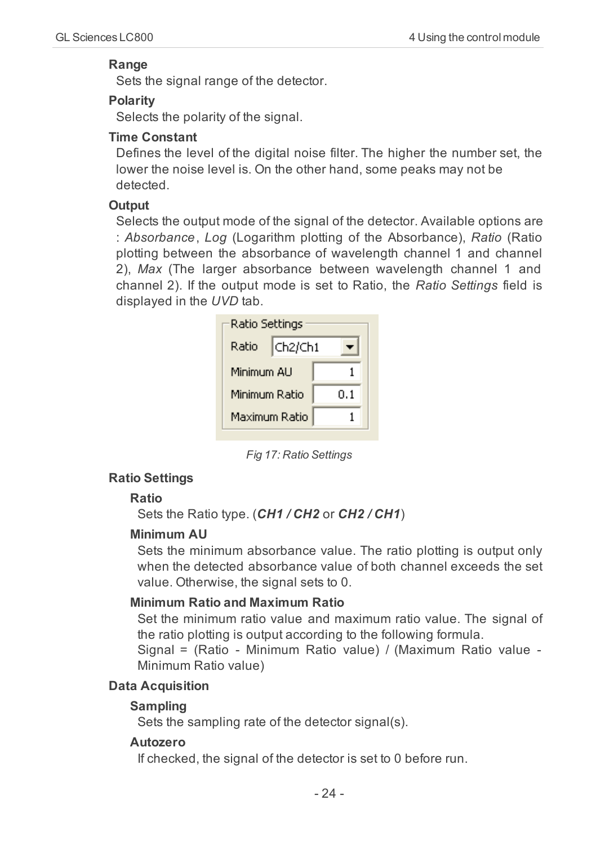#### <span id="page-27-7"></span>**Range**

<span id="page-27-6"></span>Sets the signal range of the detector.

#### **Polarity**

<span id="page-27-10"></span>Selects the polarity of the signal.

#### **Time Constant**

Defines the level of the digital noise filter. The higher the number set, the lower the noise level is. On the other hand, some peaks may not be detected.

#### <span id="page-27-5"></span><span id="page-27-0"></span>**Output**

Selects the output mode of the signal of the detector. Available options are : *Absorbance*, *Log* (Logarithm plotting of the Absorbance), *Ratio* (Ratio plotting between the absorbance of wavelength channel 1 and channel 2), *Max* (The larger absorbance between wavelength channel 1 and channel 2). If the output mode is set to Ratio, the *Ratio Settings* field is displayed in the *UVD* tab.

| Ratio Settings |         |     |
|----------------|---------|-----|
| Ratio          | Ch2/Ch1 |     |
| Minimum ALI    |         |     |
| Minimum Ratio  |         | 0.1 |
| Maximum Ratio  |         |     |

*Fig 17: Ratio Settings*

#### <span id="page-27-8"></span>**Ratio Settings**

#### **Ratio**

<span id="page-27-4"></span>Sets the Ratio type. (*CH1 / CH2* or *CH2 / CH1*)

#### **Minimum AU**

Sets the minimum absorbance value. The ratio plotting is output only when the detected absorbance value of both channel exceeds the set value. Otherwise, the signal sets to 0.

#### <span id="page-27-3"></span>**Minimum Ratio and Maximum Ratio**

Set the minimum ratio value and maximum ratio value. The signal of the ratio plotting is output according to the following formula.

Signal = (Ratio - Minimum Ratio value) / (Maximum Ratio value - Minimum Ratio value)

#### <span id="page-27-2"></span>**Data Acquisition**

#### <span id="page-27-9"></span>**Sampling**

<span id="page-27-1"></span>Sets the sampling rate of the detector signal(s).

#### **Autozero**

If checked, the signal of the detector is set to 0 before run.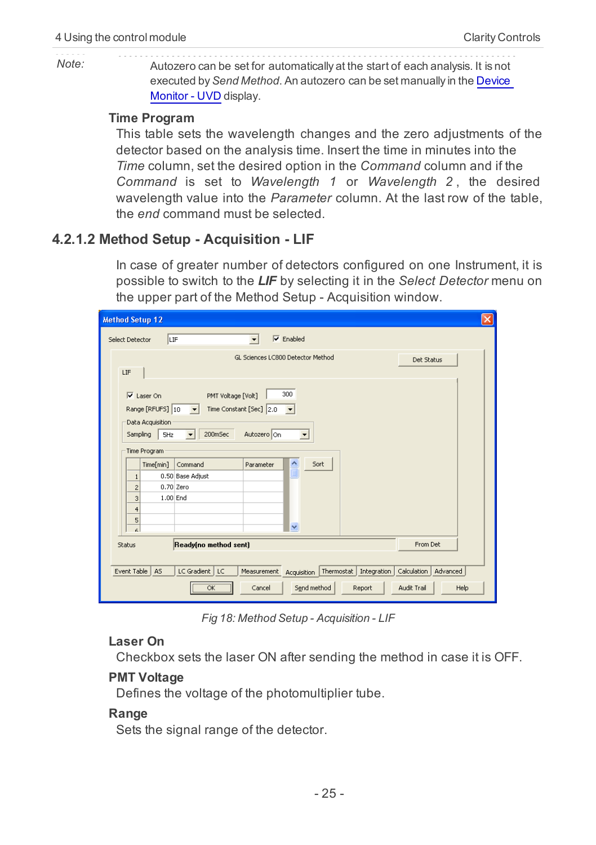*Note:* Autozero can be set for automatically at the start of each analysis. It is not executed by*Send Method*. An autozero can be set manually in the [Device](#page-33-1) [Monitor](#page-33-1) [-](#page-33-1) [UVD](#page-33-1) display.

#### <span id="page-28-5"></span>**Time Program**

This table sets the wavelength changes and the zero adjustments of the detector based on the analysis time. Insert the time in minutes into the *Time* column, set the desired option in the *Command* column and if the *Command* is set to *Wavelength 1* or *Wavelength 2* , the desired wavelength value into the *Parameter* column. At the last row of the table, the *end* command must be selected.

#### <span id="page-28-0"></span>**4.2.1.2 Method Setup - Acquisition - LIF**

<span id="page-28-4"></span>In case of greater number of detectors configured on one Instrument, it is possible to switch to the *LIF* by selecting it in the *Select Detector* menu on the upper part of the Method Setup - Acquisition window.

| <b>Method Setup 12</b>                                                                                                                                                                                                                 | $\overline{\mathsf{x}}$ |
|----------------------------------------------------------------------------------------------------------------------------------------------------------------------------------------------------------------------------------------|-------------------------|
| $\nabla$ Enabled<br>LIF<br>Select Detector                                                                                                                                                                                             |                         |
| GL Sciences LC800 Detector Method<br>Det Status<br>LIF                                                                                                                                                                                 |                         |
| 300<br>$\overline{\mathsf{v}}$ Laser On<br>PMT Voltage [Volt]<br>Range [RFUF5] 10<br>Time Constant [Sec] 2.0<br>$\overline{\phantom{a}}$<br>Data Acquisition<br>200mSec<br>Autozero On<br>Sampling<br>5Hz<br>ᅬ<br>$\blacktriangledown$ |                         |
| Time Program<br>$\triangle$<br>Sort<br>Time[min]<br>Command<br>Parameter<br>Ē<br>0.50 Base Adjust<br>1<br>0.70 Zero<br>$\overline{2}$<br>1.00 End<br>3<br>$\overline{4}$<br>5<br>$\checkmark$<br>$\epsilon$                            |                         |
| Ready(no method sent)<br>From Det<br>Status                                                                                                                                                                                            |                         |
| Event Table<br>LC Gradient   LC<br>Thermostat   Integration  <br>Calculation<br>A <sub>S</sub><br>Measurement<br>Advanced<br>Acquisition<br>                                                                                           |                         |
| Send method<br>Audit Trail<br>Help<br>OK<br>Cancel<br>Report<br>,,,,,,,,,,,,,,,,,,,,,,,                                                                                                                                                |                         |

*Fig 18: Method Setup - Acquisition - LIF*

#### <span id="page-28-1"></span>**Laser On**

<span id="page-28-2"></span>Checkbox sets the laser ON after sending the method in case it is OFF.

#### **PMT Voltage**

<span id="page-28-3"></span>Defines the voltage of the photomultiplier tube.

#### **Range**

Sets the signal range of the detector.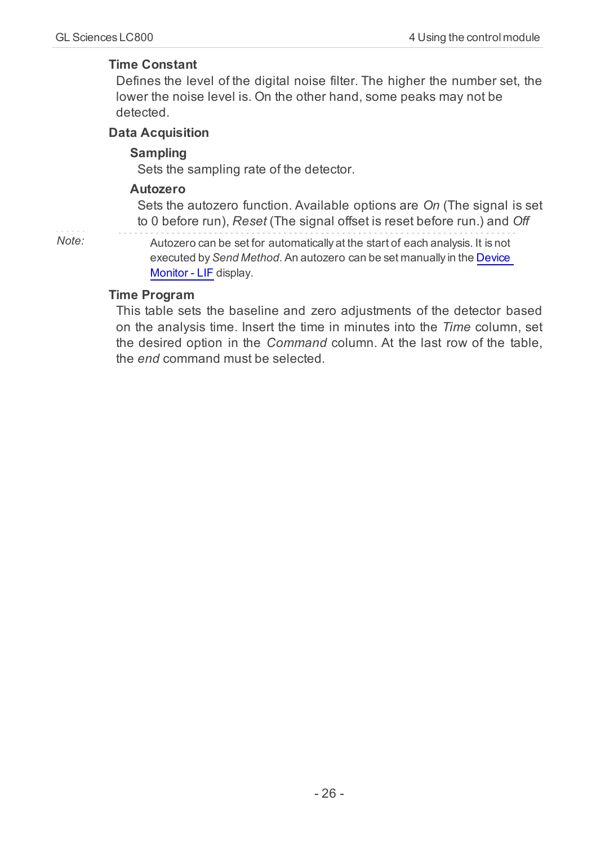#### <span id="page-29-3"></span>**Time Constant**

Defines the level of the digital noise filter. The higher the number set, the lower the noise level is. On the other hand, some peaks may not be detected.

#### <span id="page-29-1"></span>**Data Acquisition**

#### <span id="page-29-2"></span>**Sampling**

<span id="page-29-0"></span>Sets the sampling rate of the detector.

#### **Autozero**

Sets the autozero function. Available options are *On* (The signal is set to 0 before run), *Reset* (The signal offset is reset before run.) and *Off*

*Note:* Autozero can be set for automatically at the start of each analysis. It is not executed by*Send Method*. An autozero can be set manually in the [Device](#page-34-0) [Monitor](#page-34-0) [-](#page-34-0) [LIF](#page-34-0) display.

#### <span id="page-29-4"></span>**Time Program**

This table sets the baseline and zero adjustments of the detector based on the analysis time. Insert the time in minutes into the *Time* column, set the desired option in the *Command* column. At the last row of the table, the *end* command must be selected.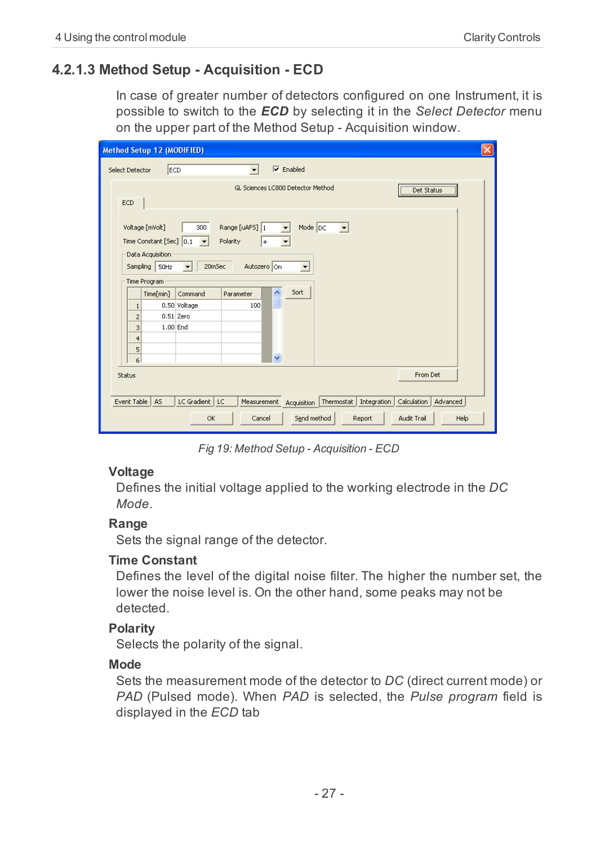### <span id="page-30-0"></span>**4.2.1.3 Method Setup - Acquisition - ECD**

In case of greater number of detectors configured on one Instrument, it is possible to switch to the *ECD* by selecting it in the *Select Detector* menu on the upper part of the Method Setup - Acquisition window.

| $\overline{\mathsf{x}}$<br>Method Setup 12 (MODIFIED)                                                                                    |
|------------------------------------------------------------------------------------------------------------------------------------------|
| $\nabla$ Enabled<br>ECD<br>Select Detector<br>$\overline{\phantom{a}}$                                                                   |
| GL Sciences LC800 Detector Method<br><b>Det Status</b>                                                                                   |
| ECD                                                                                                                                      |
| Range [uAFS] 1<br>Mode DC<br>Voltage [mVolt]<br>300<br>$\vert$<br>$\blacktriangledown$                                                   |
| Time Constant [Sec] 0.1<br>Polarity<br>$\vert \cdot \vert$<br>$\left  + \right\rangle$<br>$\blacktriangledown$                           |
| Data Acquisition                                                                                                                         |
| Autozero On<br>Sampling   50Hz<br>$\overline{\phantom{0}}$<br>20mSec<br>▼                                                                |
| Time Program                                                                                                                             |
| $\frac{\lambda}{\mathbb{I}}$<br>Sort<br>Time[min]<br>Command<br>Parameter                                                                |
| 0.50 Voltage<br>100<br>$\mathbf{1}$                                                                                                      |
| 0.51 Zero<br>$\overline{c}$                                                                                                              |
| 1.00 End<br>3                                                                                                                            |
| $\overline{4}$                                                                                                                           |
| 5                                                                                                                                        |
| v<br>6                                                                                                                                   |
| From Det<br>Status                                                                                                                       |
|                                                                                                                                          |
| Event Table<br>LC Gradient   LC<br>A <sub>5</sub><br>Thermostat   Integration  <br>Calculation<br>Advanced<br>Measurement<br>Acquisition |
| Send method<br>Audit Trail<br>OK<br>Cancel<br>Report<br>Help                                                                             |

*Fig 19: Method Setup - Acquisition - ECD*

#### <span id="page-30-5"></span>**Voltage**

Defines the initial voltage applied to the working electrode in the *DC Mode*.

#### <span id="page-30-3"></span>**Range**

<span id="page-30-4"></span>Sets the signal range of the detector.

#### **Time Constant**

Defines the level of the digital noise filter. The higher the number set, the lower the noise level is. On the other hand, some peaks may not be detected.

#### <span id="page-30-2"></span>**Polarity**

<span id="page-30-1"></span>Selects the polarity of the signal.

#### **Mode**

Sets the measurement mode of the detector to *DC* (direct current mode) or *PAD* (Pulsed mode). When *PAD* is selected, the *Pulse program* field is displayed in the *ECD* tab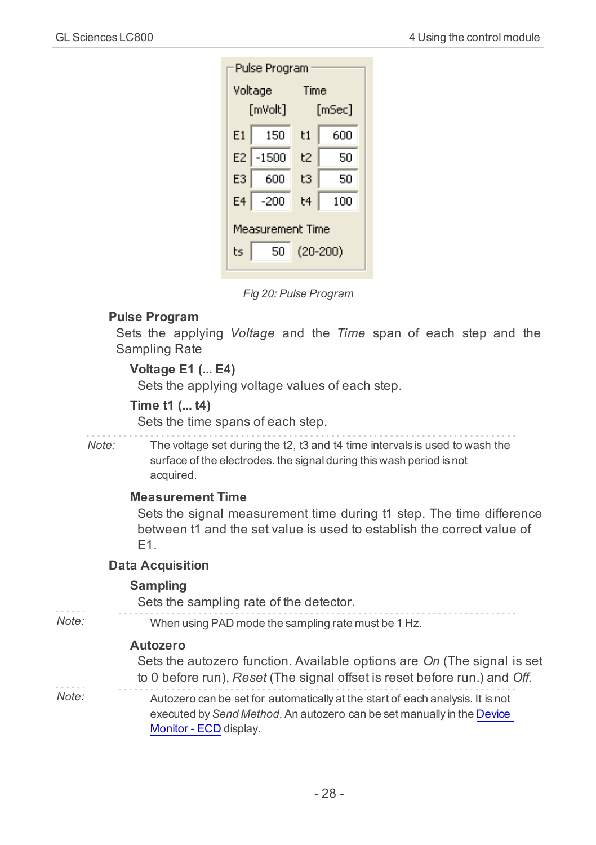| Pulse Program                              |         |          |     |  |
|--------------------------------------------|---------|----------|-----|--|
| Voltage                                    |         | Time     |     |  |
|                                            | [mVolt] | [mSec]   |     |  |
| E1                                         | 150     | t1       | 600 |  |
| E <sub>2</sub>                             | $-1500$ | t2<br>50 |     |  |
| E3                                         | 600     | tЗ<br>50 |     |  |
| E <sub>4</sub>                             | $-200$  | t4       | 100 |  |
| Measurement Time<br>$(20-200)$<br>ts<br>50 |         |          |     |  |

*Fig 20: Pulse Program*

#### <span id="page-31-2"></span>**Pulse Program**

Sets the applying *Voltage* and the *Time* span of each step and the Sampling Rate

#### **Voltage E1 (... E4)**

Sets the applying voltage values of each step.

#### **Time t1 (... t4)**

Sets the time spans of each step.

*Note:* The voltage set during the t2, t3 and t4 time intervals is used to wash the surface of the electrodes. the signal during this wash period is not acquired.

#### **Measurement Time**

Sets the signal measurement time during t1 step. The time difference between t1 and the set value is used to establish the correct value of  $F1.$ 

#### <span id="page-31-1"></span>**Data Acquisition**

#### <span id="page-31-3"></span>**Sampling**

Sets the sampling rate of the detector.

*Note:* When using PAD mode the sampling rate must be 1 Hz.

#### <span id="page-31-0"></span>**Autozero**

Sets the autozero function. Available options are *On* (The signal is set to 0 before run), *Reset* (The signal offset is reset before run.) and *Off*.

*Note:* Autozero can be set for automatically at the start of each analysis. It is not executed by*Send Method*. An autozero can be set manually in the [Device](#page-35-0) [Monitor](#page-35-0) [-](#page-35-0) [ECD](#page-35-0) display.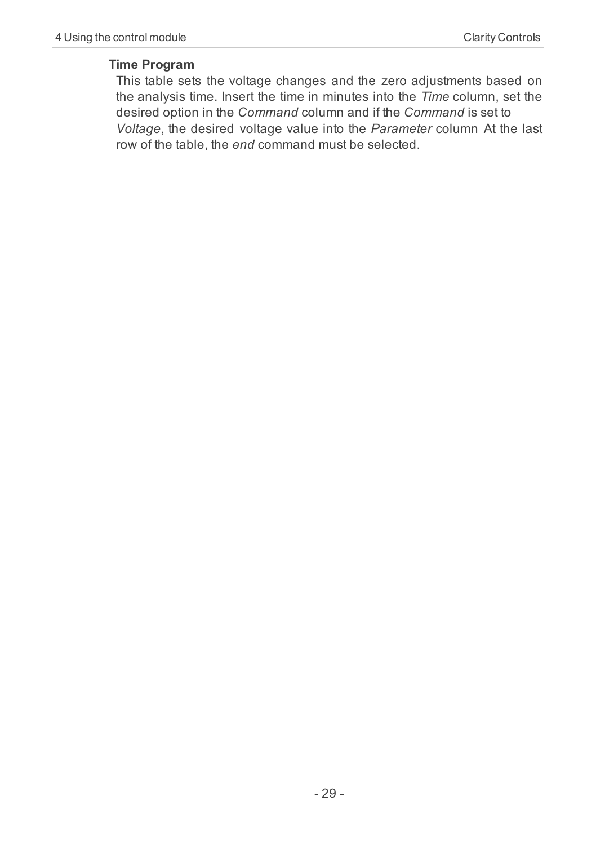#### <span id="page-32-0"></span>**Time Program**

This table sets the voltage changes and the zero adjustments based on the analysis time. Insert the time in minutes into the *Time* column, set the desired option in the *Command* column and if the *Command* is set to *Voltage*, the desired voltage value into the *Parameter* column At the last row of the table, the *end* command must be selected.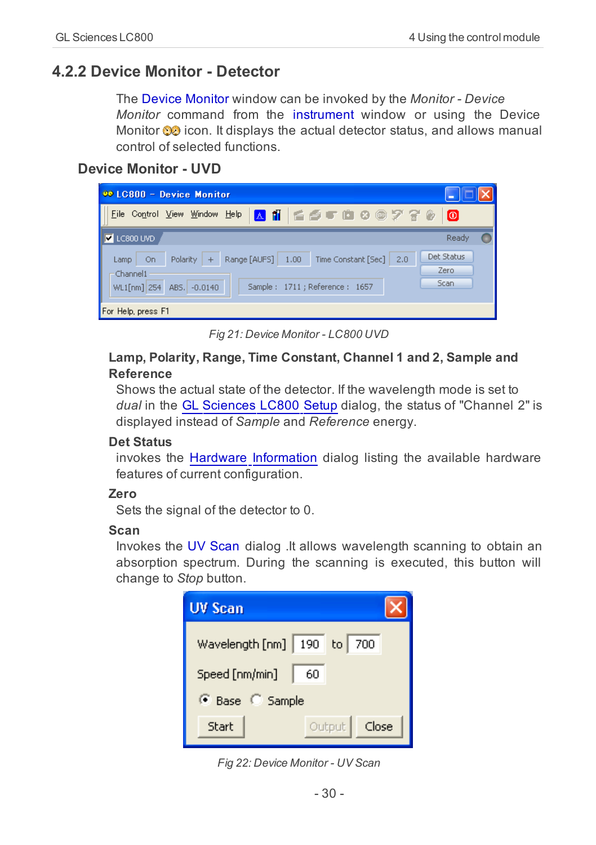## <span id="page-33-1"></span><span id="page-33-0"></span>**4.2.2 Device Monitor - Detector**

<span id="page-33-4"></span>The Device Monitor window can be invoked by the *Monitor - Device Monitor* command from the instrument window or using the Device Monitor  $\odot$  icon. It displays the actual detector status, and allows manual control of selected functions.

#### **Device Monitor - UVD**

| <b>00 LC800 - Device Monitor</b>                                                                |                    |
|-------------------------------------------------------------------------------------------------|--------------------|
| Control View Window Help & 1   E 5 T L 8 0 7 7 8<br>File                                        | lo                 |
| ∥⊽<br>LC800 UVD                                                                                 | Ready              |
| 1.00<br>Polarity<br>Range [AUFS]<br>Time Constant [Sec]<br>On<br>2.0<br>$+$<br>Lamp<br>Channel1 | Det Status<br>Zero |
| Sample: 1711; Reference: 1657<br>$-0.0140$<br>WL1[nm] 254<br>ABS.                               | Scan               |
| For Help, press F1                                                                              |                    |

*Fig 21: Device Monitor - LC800 UVD*

#### <span id="page-33-3"></span>**Lamp, Polarity, Range, Time Constant, Channel 1 and 2, Sample and Reference**

Shows the actual state of the detector. If the wavelength mode is set to *dual* in the [GL](#page-13-1) [Sciences](#page-13-1) [LC800](#page-13-1) [Setup](#page-13-1) dialog, the status of "Channel 2" is displayed instead of *Sample* and *Reference* energy.

#### <span id="page-33-2"></span>**Det Status**

invokes the [Hardware](#page-15-1) [Information](#page-15-1) dialog listing the available hardware features of current configuration.

#### <span id="page-33-7"></span>**Zero**

<span id="page-33-5"></span>Sets the signal of the detector to 0.

#### <span id="page-33-6"></span>**Scan**

Invokes the UV Scan dialog .It allows wavelength scanning to obtain an absorption spectrum. During the scanning is executed, this button will change to *Stop* button.



*Fig 22: Device Monitor - UV Scan*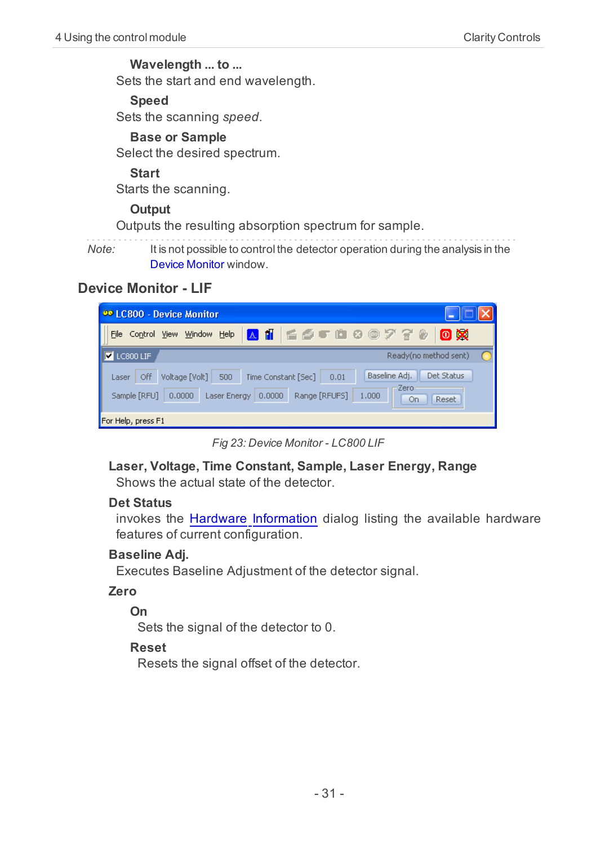**Wavelength ... to ...** Sets the start and end wavelength.

**Speed**

Sets the scanning *speed*.

#### **Base or Sample**

Select the desired spectrum.

#### **Start**

<span id="page-34-0"></span>Starts the scanning.

#### **Output**

Outputs the resulting absorption spectrum for sample.

*Note:* It is not possible to control the detector operation during the analysis in the Device Monitor window.

#### **Device Monitor - LIF**

| <b>00 LC800 - Device Monitor</b>                                                                                                                                                                          |
|-----------------------------------------------------------------------------------------------------------------------------------------------------------------------------------------------------------|
| A 11 6 6 5 6 8 0 7 7 8 9<br>0 X<br>Help<br>File<br><b>View</b><br><u>W</u> indow<br>Control                                                                                                               |
| Ready(no method sent)<br>LC800 LIF<br>  ⊽                                                                                                                                                                 |
| Baseline Adj.<br>Det Status<br>Off<br>Voltage [Volt]<br>500<br>Time Constant [Sec]<br>0.01<br>Laser<br>-Zero<br>Range [RFUFS]<br>Sample [RFU]<br>0,0000<br>0.0000<br>Laser Energy<br>1,000<br>Reset<br>On |
| For Help, press F1                                                                                                                                                                                        |

*Fig 23: Device Monitor - LC800 LIF*

<span id="page-34-3"></span>**Laser, Voltage, Time Constant, Sample, Laser Energy, Range** Shows the actual state of the detector.

#### <span id="page-34-2"></span>**Det Status**

invokes the [Hardware](#page-15-1) [Information](#page-15-1) dialog listing the available hardware features of current configuration.

#### <span id="page-34-1"></span>**Baseline Adj.**

Executes Baseline Adjustment of the detector signal.

#### **Zero**

**On**

Sets the signal of the detector to 0.

#### **Reset**

Resets the signal offset of the detector.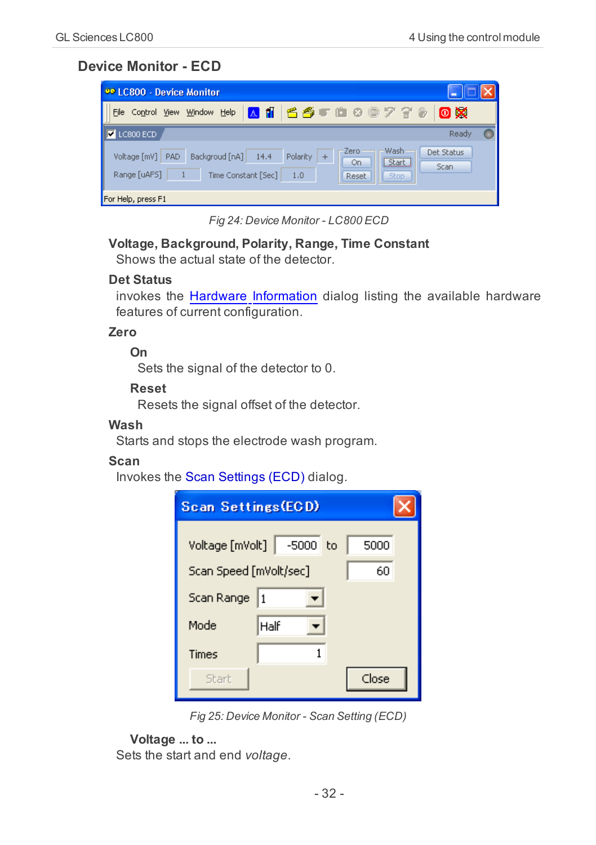### <span id="page-35-0"></span>**Device Monitor - ECD**

| <b>00 LC800 - Device Monitor</b>                                                                                                                                                                 |
|--------------------------------------------------------------------------------------------------------------------------------------------------------------------------------------------------|
| A ii<br>0 X<br>  5 5 6 9 ® 7 7 %<br>Window<br>File Control View<br>Help                                                                                                                          |
| LC800 ECD<br>Ready<br>  ⊽                                                                                                                                                                        |
| Wash<br>Zero<br>Det Status<br>Polarity<br>Voltage [mV]<br>14.4<br>PAD<br>Backgroud [nA]<br>$\overline{+}$<br>Start<br>On.<br>Scan<br>Range [uAFS]<br>Time Constant [Sec]<br>1.0<br>Reset<br>Stop |
| For Help, press F1                                                                                                                                                                               |

*Fig 24: Device Monitor - LC800 ECD*

## <span id="page-35-1"></span>**Voltage, Background, Polarity, Range, Time Constant**

<span id="page-35-2"></span>Shows the actual state of the detector.

#### **Det Status**

invokes the [Hardware](#page-15-1) [Information](#page-15-1) dialog listing the available hardware features of current configuration.

#### **Zero**

**On**

Sets the signal of the detector to 0.

#### **Reset**

Resets the signal offset of the detector.

#### <span id="page-35-5"></span>**Wash**

<span id="page-35-4"></span>Starts and stops the electrode wash program.

#### <span id="page-35-3"></span>**Scan**

Invokes the Scan Settings (ECD) dialog.

| <b>Scan Settings (ECD)</b>   |               |       |  |  |  |  |  |  |  |
|------------------------------|---------------|-------|--|--|--|--|--|--|--|
| Voltage [mVolt]              | $-5000$<br>to | 5000  |  |  |  |  |  |  |  |
| Scan Speed [mVolt/sec]<br>60 |               |       |  |  |  |  |  |  |  |
| Scan Range                   |               |       |  |  |  |  |  |  |  |
| Mode                         | Half          |       |  |  |  |  |  |  |  |
| Times                        |               |       |  |  |  |  |  |  |  |
| Start                        |               | Close |  |  |  |  |  |  |  |

*Fig 25: Device Monitor - Scan Setting (ECD)*

#### **Voltage ... to ...**

Sets the start and end *voltage*.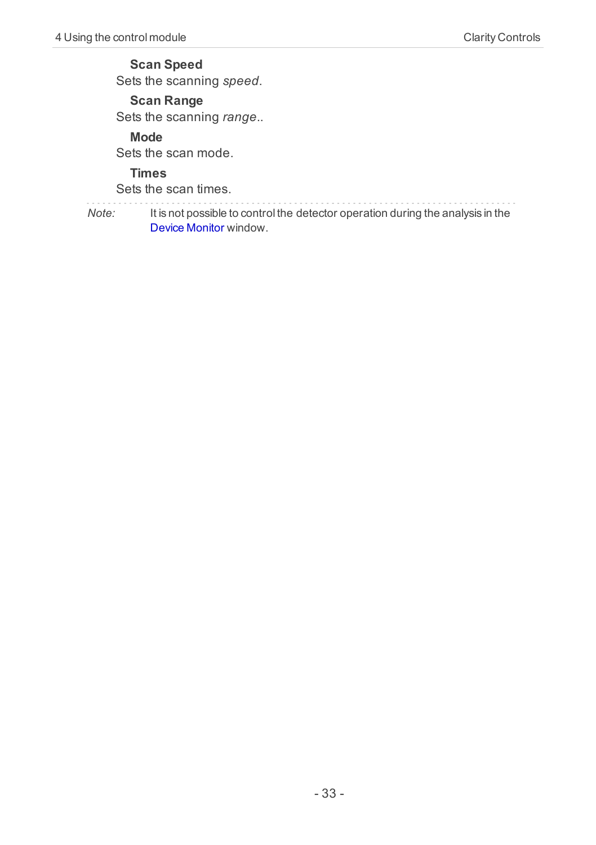#### **Scan Speed**

Sets the scanning *speed*.

## **Scan Range**

Sets the scanning *range*..

#### **Mode**

Sets the scan mode.

#### **Times**

Sets the scan times.

*Note:* It is not possible to control the detector operation during the analysis in the Device Monitor window.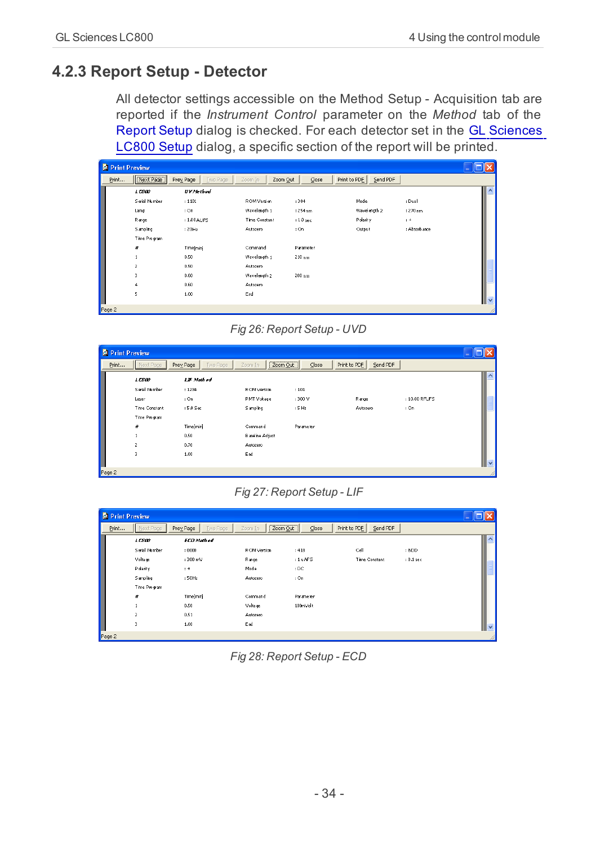## <span id="page-37-0"></span>**4.2.3 Report Setup - Detector**

<span id="page-37-1"></span>All detector settings accessible on the Method Setup - Acquisition tab are reported if the *Instrument Control* parameter on the *Method* tab of the Report Setup dialog is checked. For each detector set in the **[GL](#page-13-1) [Sciences](#page-13-1)** [LC800](#page-13-1) [Setup](#page-13-1) dialog, a specific section of the report will be printed.

| Print Preview |                  |                       |                     |                    |                          |              |                          |
|---------------|------------------|-----------------------|---------------------|--------------------|--------------------------|--------------|--------------------------|
| Print         | Next Page        | Prey Page<br>Two Page | Zoom In<br>Zoom Out | $\mathsf{Close}$   | Print to PDE<br>Send PDF |              |                          |
|               | 1CSD             | <b>UV</b> Method      |                     |                    |                          |              | $\overline{\phantom{a}}$ |
|               | Serial Number    | : 1101                | ROM Version         | :304               | Mode                     | : Dual       |                          |
|               | Lamp             | : On                  | Wavelength 1        | :254 <sub>nm</sub> | Wavelength 2             | : 270 nm     |                          |
|               | Range            | : 1.00 AUFS           | Time Constant       | $: 1.0$ sec        | Polanty                  | $1 +$        |                          |
|               | Sampling         | :20H <sub>2</sub>     | Autozero            | : On               | Output                   | : Absorbance |                          |
|               | Time Program     |                       |                     |                    |                          |              |                          |
|               | $\boldsymbol{H}$ | Time[min]             | Command             | Parameter          |                          |              |                          |
|               |                  | 0.50                  | Wavelength 1        | $210 \text{ nm}$   |                          |              |                          |
|               | $\overline{z}$   | 0.50                  | Autozero            |                    |                          |              |                          |
|               | з                | 0.60                  | Wavelength 2        | 280 nm             |                          |              |                          |
|               | $\ddot{a}$       | 0.60                  | Autozero            |                    |                          |              |                          |
|               | 5                | 1.00                  | End                 |                    |                          |              | $\vee$                   |
| Dago 2        |                  |                       |                     |                    |                          |              |                          |

*Fig 26: Report Setup - UVD*

|        | <b>De Print Preview</b> |                              |                        |                              |                          |               |        |
|--------|-------------------------|------------------------------|------------------------|------------------------------|--------------------------|---------------|--------|
| Print  | Next Page               | Prey Page<br><b>Iwo Page</b> | Zoom In                | Zoom Out<br>$\subseteq$ lose | Print to PDE<br>Send PDF |               |        |
|        | 1C500                   | <b>LIF Method</b>            |                        |                              |                          |               |        |
|        | Serial Number           | : 1234                       | <b>ROM Version</b>     | : 101                        |                          |               |        |
|        | Laser                   | : On                         | PMT V dtage            | :300 V                       | Range                    | : 10.00 RFUFS |        |
|        | Time Constant           | $:5.0$ Sec                   | Sampling               | :5H <sub>2</sub>             | Autozero                 | : On          |        |
|        | Time Program            |                              |                        |                              |                          |               |        |
|        | Ħ                       | Time[min]                    | Command                | Parameter                    |                          |               |        |
|        |                         | 0.50                         | <b>Baseline Adjust</b> |                              |                          |               |        |
|        | $\overline{z}$          | 0.70                         | Autozero               |                              |                          |               |        |
|        | 3                       | 1.00                         | End                    |                              |                          |               |        |
|        |                         |                              |                        |                              |                          |               | $\sim$ |
| Page 2 |                         |                              |                        |                              |                          |               |        |

*Fig 27: Report Setup - LIF*

| Print Preview |                 |                              |             |                      |                          |             |                          |
|---------------|-----------------|------------------------------|-------------|----------------------|--------------------------|-------------|--------------------------|
| Print         | Next Page       | Prey Page<br><b>Iwo Page</b> | Zoom In     | Zoom Out<br>$C$ lose | Send PDF<br>Print to PDE |             |                          |
|               | 10800           | <b>ECD Meth od</b>           |             |                      |                          |             | $\overline{\phantom{a}}$ |
|               | Serial Number   | : 0000                       | ROM Version | :418                 | Cell                     | : BDD       |                          |
|               | Voltage         | : 300 mV                     | Range       | :1 uAFS              | Time Constant            | $: 0.1$ sec |                          |
|               | Polaity         | $1 +$                        | Mode        | : DC                 |                          |             |                          |
|               | <b>Sampling</b> | 150Hz                        | Autozero    | : On                 |                          |             |                          |
|               | Time Program    |                              |             |                      |                          |             |                          |
|               | ₩               | Time[min]                    | Command     | Parameter            |                          |             |                          |
|               |                 | 0.50                         | Voltage     | 100mVolt             |                          |             |                          |
|               | $\overline{z}$  | 0.51                         | Autozero    |                      |                          |             |                          |
|               | 3               | 1.00                         | End         |                      |                          |             | $\checkmark$             |
| Page 2        |                 |                              |             |                      |                          |             |                          |

*Fig 28: Report Setup - ECD*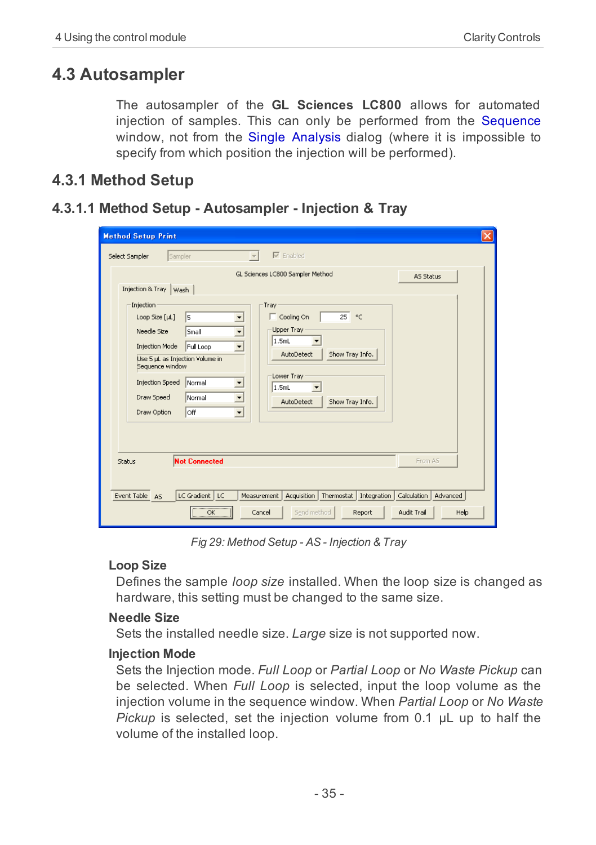## <span id="page-38-0"></span>**4.3 Autosampler**

The autosampler of the **GL Sciences LC800** allows for automated injection of samples. This can only be performed from the Sequence window, not from the Single Analysis dialog (where it is impossible to specify from which position the injection will be performed).

## <span id="page-38-2"></span><span id="page-38-1"></span>**4.3.1 Method Setup**

#### **4.3.1.1 Method Setup - Autosampler - Injection & Tray**

| $\times$<br><b>Method Setup Print</b>                                                                                                                                                                                                                                                                                                                                                                                                                                                                                                                    |  |  |  |  |  |  |  |
|----------------------------------------------------------------------------------------------------------------------------------------------------------------------------------------------------------------------------------------------------------------------------------------------------------------------------------------------------------------------------------------------------------------------------------------------------------------------------------------------------------------------------------------------------------|--|--|--|--|--|--|--|
| $\nabla$ Enabled<br>Sampler<br>Select Sampler                                                                                                                                                                                                                                                                                                                                                                                                                                                                                                            |  |  |  |  |  |  |  |
| GL Sciences LC800 Sampler Method<br>AS Status<br>Injection & Tray   Wash                                                                                                                                                                                                                                                                                                                                                                                                                                                                                 |  |  |  |  |  |  |  |
| Injection<br>Tray<br>$\Gamma$ Cooling On<br>25<br>$^{\circ}$ C<br>l5<br>Loop Size [µL]<br>$\blacktriangledown$<br>Upper Tray<br>▼<br>Needle Size<br>Small<br>1.5mL<br>Injection Mode<br>Full Loop<br>$\overline{\phantom{a}}$<br>Show Tray Info.<br>AutoDetect<br>Use 5 µL as Injection Volume in<br>Sequence window<br>Lower Tray<br><b>Injection Speed</b><br>Normal<br>$\overline{\phantom{a}}$<br>1.5mL<br>▼<br>$\overline{\phantom{a}}$<br>Draw Speed<br>Normal<br>Show Tray Info.<br>AutoDetect<br>loff<br>$\overline{\phantom{a}}$<br>Draw Option |  |  |  |  |  |  |  |
| <b>Not Connected</b><br>From AS<br>Status                                                                                                                                                                                                                                                                                                                                                                                                                                                                                                                |  |  |  |  |  |  |  |
| LC Gradient   LC<br>Acquisition   Thermostat  <br>Integration<br>Calculation  <br>Event Table AS<br>Measurement<br>Advanced<br>$\overline{\alpha}$<br>Send method<br>Audit Trail<br>Help<br>Cancel<br>Report                                                                                                                                                                                                                                                                                                                                             |  |  |  |  |  |  |  |

*Fig 29: Method Setup - AS - Injection & Tray*

#### <span id="page-38-4"></span>**Loop Size**

Defines the sample *loop size* installed. When the loop size is changed as hardware, this setting must be changed to the same size.

#### <span id="page-38-5"></span>**Needle Size**

<span id="page-38-3"></span>Sets the installed needle size. *Large* size is not supported now.

#### **Injection Mode**

Sets the Injection mode. *Full Loop* or *Partial Loop* or *No Waste Pickup* can be selected. When *Full Loop* is selected, input the loop volume as the injection volume in the sequence window. When *Partial Loop* or *No Waste Pickup* is selected, set the injection volume from 0.1 μL up to half the volume of the installed loop.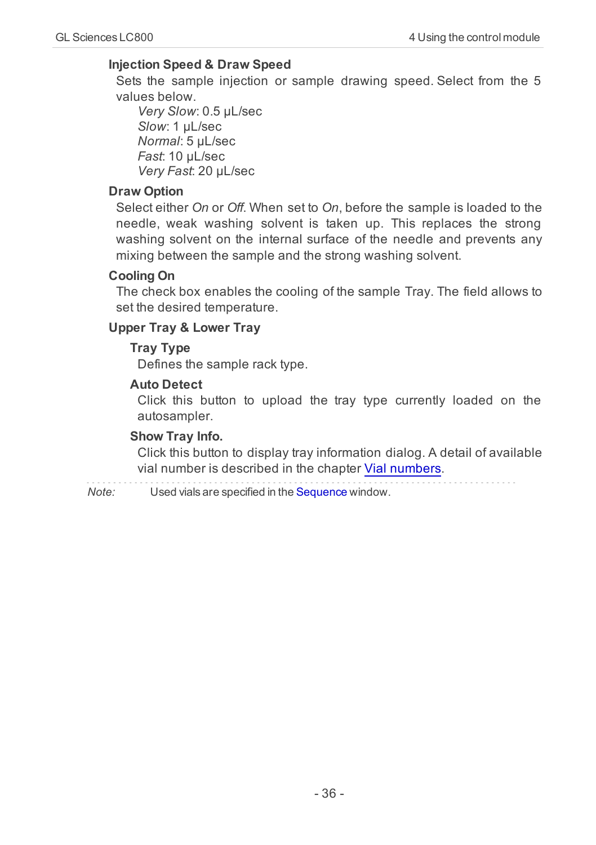#### <span id="page-39-3"></span>**Injection Speed & Draw Speed**

Sets the sample injection or sample drawing speed. Select from the 5 values below.

*Very Slow*: 0.5 μL/sec *Slow*: 1 μL/sec *Normal*: 5 μL/sec *Fast*: 10 μL/sec *Very Fast*: 20 μL/sec

#### <span id="page-39-2"></span>**Draw Option**

Select either *On* or *Off*. When set to *On*, before the sample is loaded to the needle, weak washing solvent is taken up. This replaces the strong washing solvent on the internal surface of the needle and prevents any mixing between the sample and the strong washing solvent.

#### <span id="page-39-1"></span>**Cooling On**

The check box enables the cooling of the sample Tray. The field allows to set the desired temperature.

#### <span id="page-39-4"></span>**Upper Tray & Lower Tray**

#### **Tray Type**

<span id="page-39-0"></span>Defines the sample rack type.

#### **Auto Detect**

Click this button to upload the tray type currently loaded on the autosampler.

#### <span id="page-39-5"></span>**Show Tray Info.**

Click this button to display tray information dialog. A detail of available vial number is described in the chapter [Vial](#page-51-0) [numbers](#page-51-0).

*Note:* Used vials are specified in the Sequence window.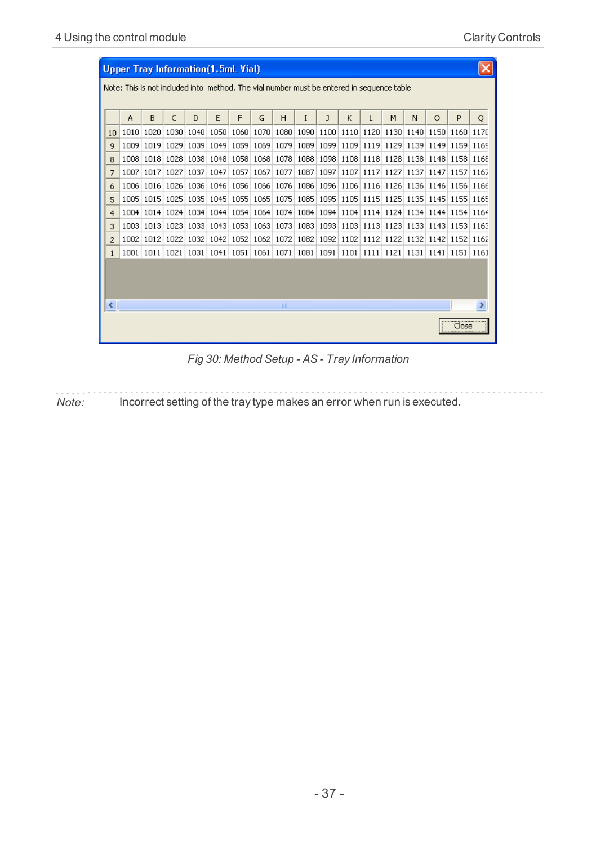|    | <b>Upper Tray Information(1.5mL Vial)</b>                                                 |      |      |      |           |      |      |      |           |   |           |      |   |   |   |                                                                                                               |           |   |
|----|-------------------------------------------------------------------------------------------|------|------|------|-----------|------|------|------|-----------|---|-----------|------|---|---|---|---------------------------------------------------------------------------------------------------------------|-----------|---|
|    | Note: This is not included into method. The vial number must be entered in sequence table |      |      |      |           |      |      |      |           |   |           |      |   |   |   |                                                                                                               |           |   |
|    |                                                                                           |      |      |      |           |      |      |      |           |   |           |      |   |   |   |                                                                                                               |           |   |
|    |                                                                                           | А    | в    | C    | D         | E    | F    | G    | н         | I | J         | K    | L | М | N | $\circ$                                                                                                       | P         | Q |
| 10 |                                                                                           | 1010 | 1020 | 1030 | 1040 1050 |      | 1060 | 1070 |           |   |           |      |   |   |   | 1080   1090   1100   1110   1120   1130   1140   1150   1160   1170                                           |           |   |
| 9  |                                                                                           | 1009 | 1019 | 1029 |           |      |      |      |           |   |           |      |   |   |   | 1039   1049   1059   1069   1079   1089   1099   1109   1119   1129   1139   1149   1159   1169               |           |   |
| 8  |                                                                                           | 1008 | 1018 | 1028 | 1038      | 1048 | 1058 |      | 1068 1078 |   | 1088 1098 | 1108 |   |   |   | 1118 1128 1138 1148 1158 1168                                                                                 |           |   |
| 7  |                                                                                           | 1007 | 1017 | 1027 | 1037      | 1047 | 1057 | 1067 | 1077      |   | 1087 1097 | 1107 |   |   |   | 1117 1127 1137 1147 1157 1167                                                                                 |           |   |
| 6  |                                                                                           | 1006 | 1016 | 1026 | 1036      | 1046 | 1056 |      |           |   |           |      |   |   |   | 1066   1076   1086   1096   1106   1116   1126   1136   1146   1156   1166                                    |           |   |
| 5  |                                                                                           | 1005 |      |      |           |      |      |      |           |   |           |      |   |   |   | 1015   1025   1035   1045   1055   1065   1075   1085   1095   1105   1115   1125   1135   1145   1155   1165 |           |   |
|    | 4                                                                                         | 1004 |      |      |           |      |      |      |           |   |           |      |   |   |   | 1014 1024 1034 1044 1054 1064 1074 1084 1094 1104 1114 1124 1134 1144 1154 1164                               |           |   |
| 3  |                                                                                           | 1003 |      |      |           |      |      |      |           |   |           |      |   |   |   | 1013 1023 1033 1043 1053 1063 1073 1083 1093 1103 1113 1123 1133 1143 1153 1163                               |           |   |
| 2  |                                                                                           | 1002 | 1012 | 1022 | 1032      |      |      |      |           |   |           |      |   |   |   | 1042 1052 1062 1072 1082 1092 1102 1112 1122 1132 1142 1152 1162                                              |           |   |
| 1  |                                                                                           | 1001 |      |      |           |      |      |      |           |   |           |      |   |   |   | 1011 1021 1031 1041 1051 1061 1071 1081 1091 1101 1111 1121 1131 1141 1151 1161                               |           |   |
|    |                                                                                           |      |      |      |           |      |      |      |           |   |           |      |   |   |   |                                                                                                               |           |   |
|    |                                                                                           |      |      |      |           |      |      |      |           |   |           |      |   |   |   |                                                                                                               |           |   |
|    |                                                                                           |      |      |      |           |      |      |      |           |   |           |      |   |   |   |                                                                                                               |           |   |
| ∢  |                                                                                           |      |      |      |           |      |      |      | ШI        |   |           |      |   |   |   |                                                                                                               |           | × |
|    |                                                                                           |      |      |      |           |      |      |      |           |   |           |      |   |   |   |                                                                                                               | <br>Close |   |

*Fig 30: Method Setup - AS - Tray Information*

*Note:* Incorrect setting of the tray type makes an error when run is executed.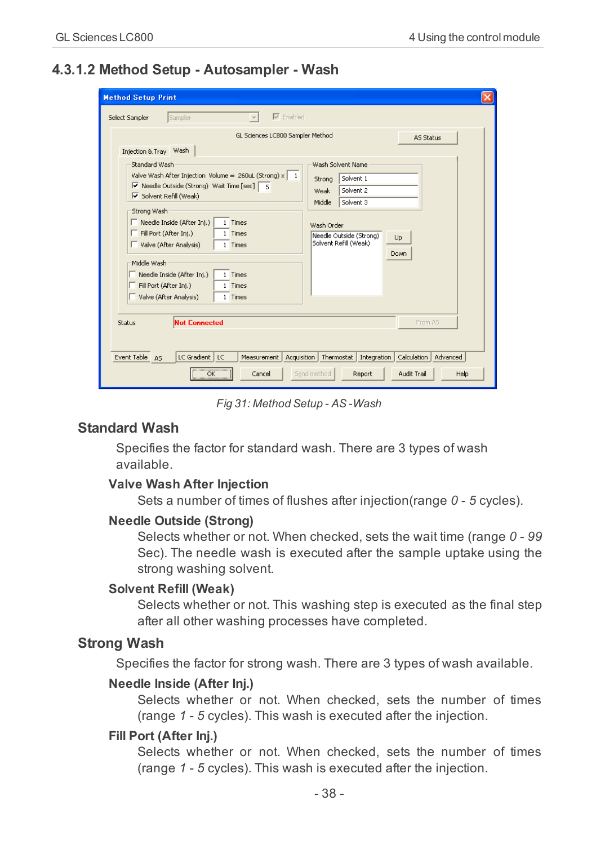### <span id="page-41-0"></span>**4.3.1.2 Method Setup - Autosampler - Wash**

| <b>Method Setup Print</b><br>×                                                                                                                                                                                                                                                                                                                                                                                                                                                                                                                                                                                                                                                                                                                         |  |  |  |  |  |  |  |
|--------------------------------------------------------------------------------------------------------------------------------------------------------------------------------------------------------------------------------------------------------------------------------------------------------------------------------------------------------------------------------------------------------------------------------------------------------------------------------------------------------------------------------------------------------------------------------------------------------------------------------------------------------------------------------------------------------------------------------------------------------|--|--|--|--|--|--|--|
| $\nabla$ Enabled<br>Sampler<br>Select Sampler<br>GL Sciences LC800 Sampler Method<br><b>AS Status</b><br>Injection & Tray Wash<br>Wash Solvent Name<br>Standard Wash<br>Valve Wash After Injection Volume = 260uL (Strong) $x \mid 1$<br>Solvent 1<br>Strong<br>V Needle Outside (Strong) Wait Time [sec]   5<br>Solvent 2<br>Weak<br>$\nabla$ Solvent Refill (Weak)<br>Solvent 3<br>Middle<br>Strong Wash<br>$\Box$ Needle Inside (After Inj.)<br>1 Times<br>Wash Order<br>Fill Port (After Inj.)<br>1 Times<br>Needle Outside (Strong)<br>Up<br>Solvent Refill (Weak)<br>Valve (After Analysis)<br>1 Times<br>Down<br>Middle Wash<br>Needle Inside (After Inj.)<br>1 Times<br>Fill Port (After Inj.)<br>1 Times<br>Valve (After Analysis)<br>1 Times |  |  |  |  |  |  |  |
| <b>Not Connected</b><br>From AS<br>Status<br>Event Table AS<br>LC Gradient<br>LC<br>Acquisition<br>Thermostat<br>Integration<br>Calculation<br>Advanced<br>Measurement<br>OK<br>Send method<br>Audit Trail<br>Help<br>Cancel<br>Report                                                                                                                                                                                                                                                                                                                                                                                                                                                                                                                 |  |  |  |  |  |  |  |

*Fig 31: Method Setup - AS -Wash*

#### <span id="page-41-5"></span>**Standard Wash**

Specifies the factor for standard wash. There are 3 types of wash available.

#### <span id="page-41-7"></span>**Valve Wash After Injection**

Sets a number of times of flushes after injection(range *0* - *5* cycles).

#### <span id="page-41-3"></span>**Needle Outside (Strong)**

Selects whether or not. When checked, sets the wait time (range *0* - *99* Sec). The needle wash is executed after the sample uptake using the strong washing solvent.

#### <span id="page-41-4"></span>**Solvent Refill (Weak)**

Selects whether or not. This washing step is executed as the final step after all other washing processes have completed.

#### <span id="page-41-6"></span>**Strong Wash**

<span id="page-41-2"></span>Specifies the factor for strong wash. There are 3 types of wash available.

#### **Needle Inside (After Inj.)**

Selects whether or not. When checked, sets the number of times (range *1* - *5* cycles). This wash is executed after the injection.

#### <span id="page-41-1"></span>**Fill Port (After Inj.)**

Selects whether or not. When checked, sets the number of times (range *1* - *5* cycles). This wash is executed after the injection.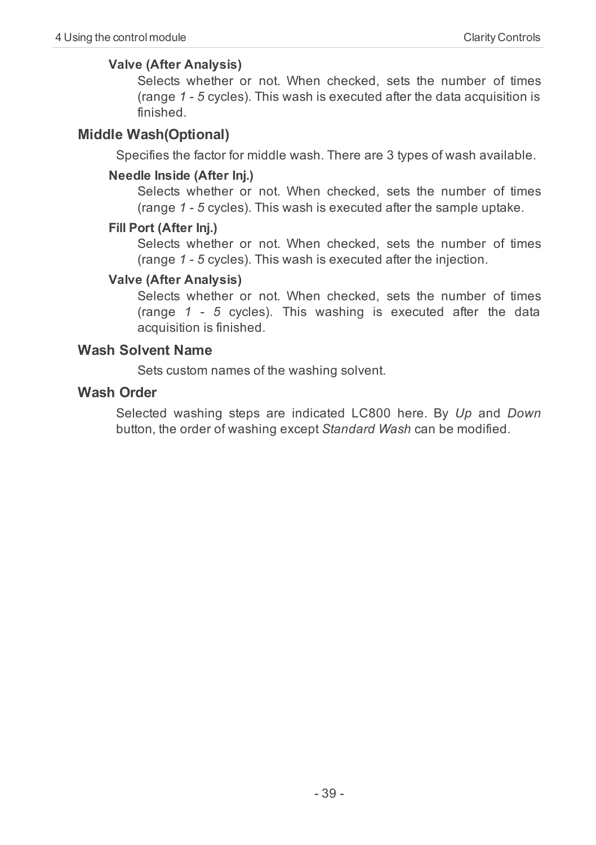#### <span id="page-42-1"></span>**Valve (After Analysis)**

Selects whether or not. When checked, sets the number of times (range *1* - *5* cycles). This wash is executed after the data acquisition is finished.

#### <span id="page-42-0"></span>**Middle Wash(Optional)**

Specifies the factor for middle wash. There are 3 types of wash available.

#### **Needle Inside (After Inj.)**

Selects whether or not. When checked, sets the number of times (range *1* - *5* cycles). This wash is executed after the sample uptake.

#### **Fill Port (After Inj.)**

Selects whether or not. When checked, sets the number of times (range *1* - *5* cycles). This wash is executed after the injection.

#### **Valve (After Analysis)**

Selects whether or not. When checked, sets the number of times (range *1* - *5* cycles). This washing is executed after the data acquisition is finished.

#### <span id="page-42-3"></span>**Wash Solvent Name**

Sets custom names of the washing solvent.

#### <span id="page-42-2"></span>**Wash Order**

Selected washing steps are indicated LC800 here. By *Up* and *Down* button, the order of washing except *Standard Wash* can be modified.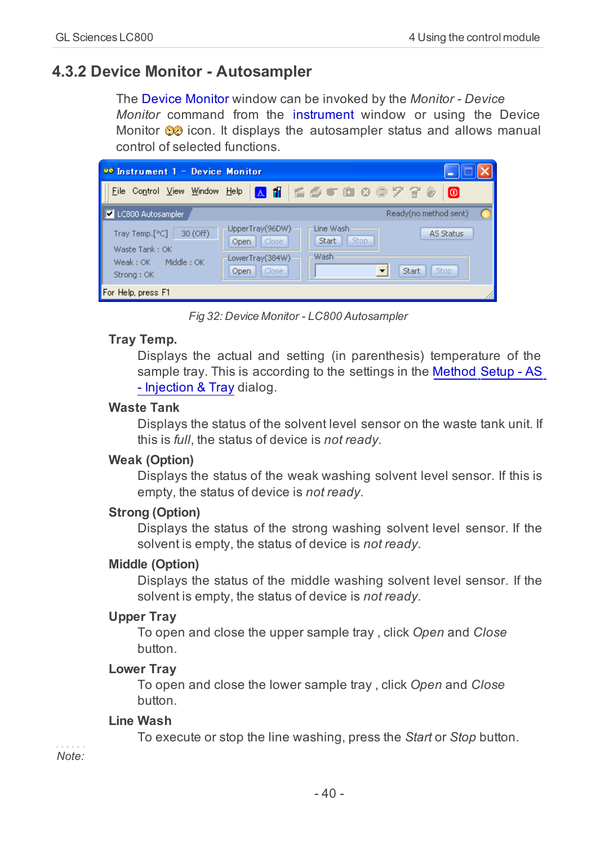## <span id="page-43-0"></span>**4.3.2 Device Monitor - Autosampler**

<span id="page-43-4"></span>The Device Monitor window can be invoked by the *Monitor - Device Monitor* command from the instrument window or using the Device Monitor  $\odot$  icon. It displays the autosampler status and allows manual control of selected functions.

| 00 Instrument 1 - Device Monitor                                                  |                                                                                                                            |                          |
|-----------------------------------------------------------------------------------|----------------------------------------------------------------------------------------------------------------------------|--------------------------|
| File Control View Window Help                                                     | ANGSTOGO770                                                                                                                | lΘ                       |
| LC800 Autosampler                                                                 | Ready(no method sent)                                                                                                      |                          |
| 30 (Off)<br>Tray Temp.[°C]<br>Waste Tank: OK<br>Weak: OK Middle: OK<br>Strong: OK | UpperTray(96DW)<br>Line Wash<br><b>Stop</b><br>Close<br>Start<br>Open<br>Wash<br>LowerTray(384W)<br>Close<br>Start<br>Open | AS Status<br><b>Stop</b> |
| For Help, press F1                                                                |                                                                                                                            |                          |

*Fig 32: Device Monitor - LC800 Autosampler*

#### <span id="page-43-6"></span>**Tray Temp.**

Displays the actual and setting (in parenthesis) temperature of the sample tray. This is according to the settings in the [Method](#page-38-1) [Setup](#page-38-1) [-](#page-38-1) [AS](#page-38-1) [-](#page-38-1) [Injection](#page-38-1) [&](#page-38-1) [Tray](#page-38-1) dialog.

#### <span id="page-43-8"></span>**Waste Tank**

Displays the status of the solvent level sensor on the waste tank unit. If this is *full*, the status of device is *not ready*.

#### <span id="page-43-9"></span>**Weak (Option)**

Displays the status of the weak washing solvent level sensor. If this is empty, the status of device is *not ready*.

#### <span id="page-43-5"></span>**Strong (Option)**

Displays the status of the strong washing solvent level sensor. If the solvent is empty, the status of device is *not ready*.

#### <span id="page-43-3"></span>**Middle (Option)**

Displays the status of the middle washing solvent level sensor. If the solvent is empty, the status of device is *not ready*.

#### <span id="page-43-7"></span>**Upper Tray**

To open and close the upper sample tray , click *Open* and *Close* button.

#### <span id="page-43-2"></span>**Lower Tray**

To open and close the lower sample tray , click *Open* and *Close* button.

#### <span id="page-43-1"></span>**Line Wash**

To execute or stop the line washing, press the *Start* or *Stop* button.

*Note:*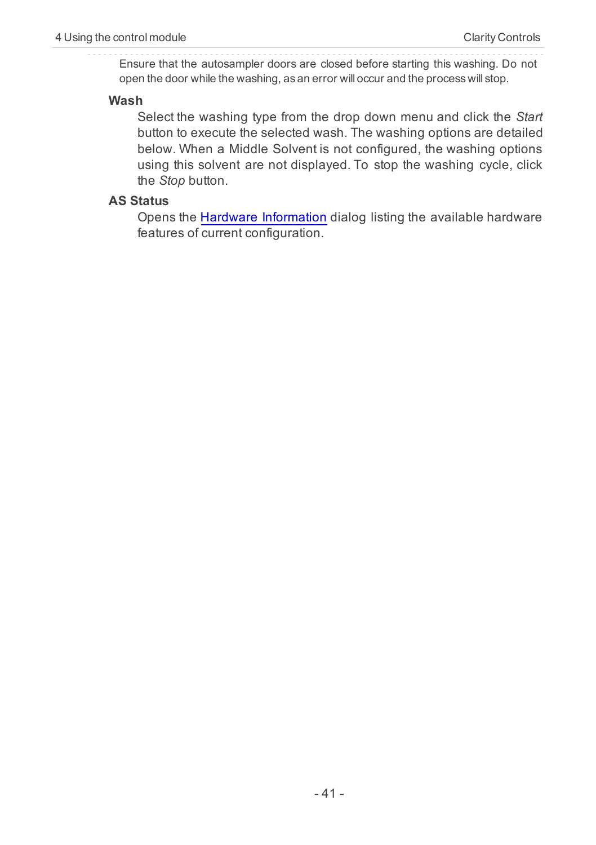Ensure that the autosampler doors are closed before starting this washing. Do not open the door while the washing, as an error will occur and the process will stop.

#### <span id="page-44-1"></span>**Wash**

Select the washing type from the drop down menu and click the *Start* button to execute the selected wash. The washing options are detailed below. When a Middle Solvent is not configured, the washing options using this solvent are not displayed. To stop the washing cycle, click the *Stop* button.

#### <span id="page-44-0"></span>**AS Status**

Opens the [Hardware](#page-15-1) [Information](#page-15-1) dialog listing the available hardware features of current configuration.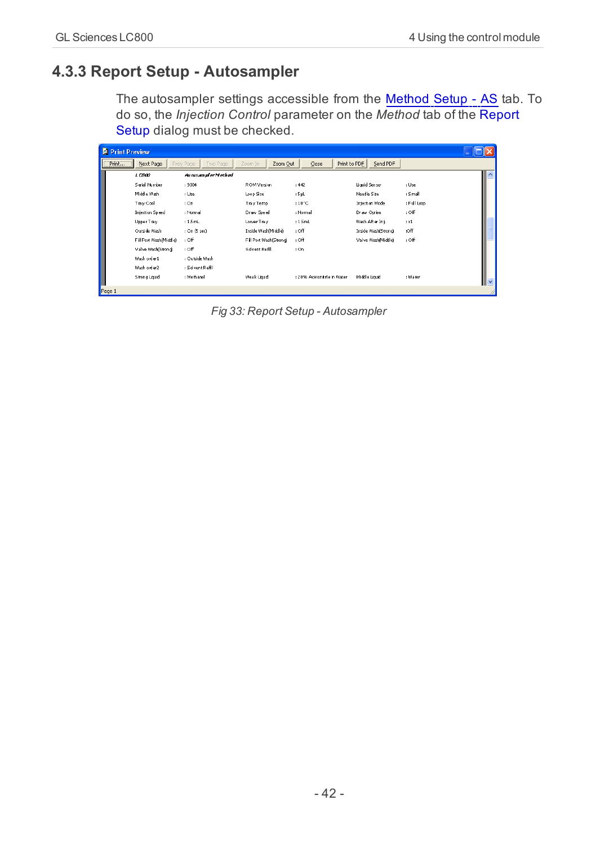## <span id="page-45-0"></span>**4.3.3 Report Setup - Autosampler**

<span id="page-45-1"></span>The autosampler settings accessible from the [Method](#page-38-1) [Setup](#page-38-1) [-](#page-38-1) [AS](#page-38-1) tab. To do so, the *Injection Control* parameter on the *Method* tab of the Report Setup dialog must be checked.

| <b>C</b> Print Preview |                        |                       |                      |                                  |                     |             |                          |
|------------------------|------------------------|-----------------------|----------------------|----------------------------------|---------------------|-------------|--------------------------|
| $[$ Print              | Next Page              | Prev Page<br>Two Rage | Zoom In<br>Zoom Out  | $\mathsf{Close}$<br>Print to PDF | Send PDF            |             |                          |
|                        | 1 C 800                | Au tosan pler Method  |                      |                                  |                     |             | $\overline{\phantom{a}}$ |
|                        | Serial Number          | : 9004                | ROM Version          | :442                             | Liquid Sensor       | : Use       |                          |
|                        | Middle Wash            | : Use                 | Loop Size            | : SpL                            | Needle Size         | : Small     |                          |
|                        | Tra y Cool             | : On                  | Tray Temp            | $:10^{\circ}$ C                  | Injection Mode      | : Full Loop |                          |
|                        | <b>Injection Speed</b> | : Normal              | Draw Speed           | : Normal                         | Draw Option         | $:$ Off     |                          |
|                        | Upper Trav             | $: 1.5$ mL            | Lower Trav           | $: 1.5$ mL                       | Wash After In i.    | 1x1         |                          |
|                        | Outside Wash           | : On (5 sec)          | Inside WashIMiddleì  | $:$ Off                          | Inside Wash(Strong) | Off         |                          |
|                        | Fil Port Wash(Middle)  | : Off                 | FilPort Wash(Strong) | $:$ Off                          | Valve Wash(Middle)  | $:$ Off     |                          |
|                        | Valve Wash(Strong)     | $:$ Off               | Solvent Refil        | : On                             |                     |             |                          |
|                        | Wash order 1           | : Outside Wash        |                      |                                  |                     |             |                          |
|                        | Wash order 2           | : Sdvent Refll        |                      |                                  |                     |             |                          |
|                        | Strong Liquid          | : Methanol            | Weak Liquid          | : 20% Acetonitrie in Water       | Middle Liquid       | : Water     | <u>v</u>                 |
| Page 1                 |                        |                       |                      |                                  |                     |             |                          |

*Fig 33: Report Setup - Autosampler*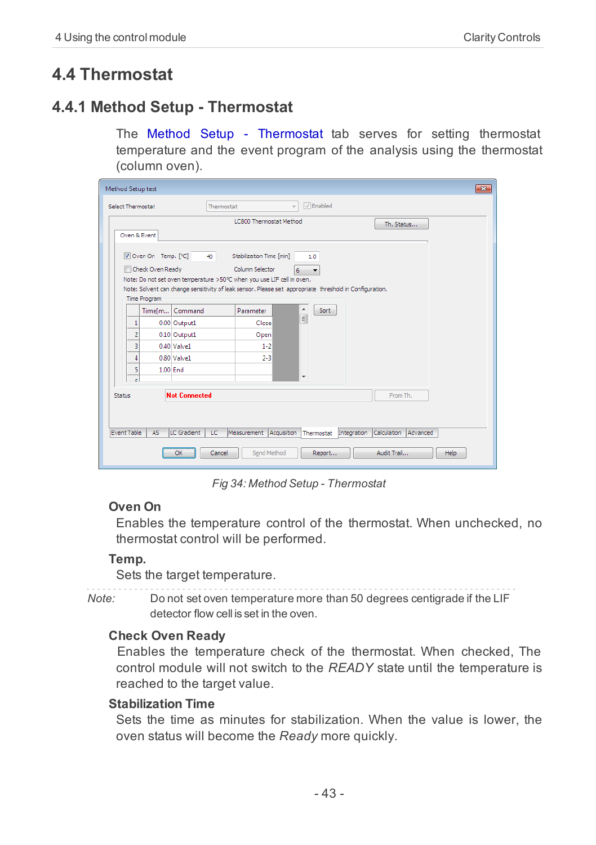## <span id="page-46-1"></span><span id="page-46-0"></span>**4.4 Thermostat**

## **4.4.1 Method Setup - Thermostat**

The Method Setup - Thermostat tab serves for setting thermostat temperature and the event program of the analysis using the thermostat (column oven).

| $\mathbf{x}$<br>Method Setup test                                                                                             |  |  |  |  |  |  |  |
|-------------------------------------------------------------------------------------------------------------------------------|--|--|--|--|--|--|--|
| $\sqrt{ }$ Enabled<br>Select Thermostat<br>Thermostat<br>$\mathcal{L}$                                                        |  |  |  |  |  |  |  |
| <b>LC800 Thermostat Method</b><br>Th. Status<br>Oven & Event                                                                  |  |  |  |  |  |  |  |
| Oven On Temp. [°C]<br>Stabilization Time [min]<br>40<br>1.0                                                                   |  |  |  |  |  |  |  |
| Check Oven Ready<br>Column Selector<br>6<br>$\cdot$<br>Note: Do not set oven temperature >50°C when you use LIF cell in oven. |  |  |  |  |  |  |  |
| Note: Solvent can change sensitivity of leak sensor. Please set appropriate threshold in Configuration.                       |  |  |  |  |  |  |  |
| Time Program                                                                                                                  |  |  |  |  |  |  |  |
| ۸<br>Sort<br>Command<br>Parameter<br>Time[m]<br>$\equiv$<br>1<br>Close                                                        |  |  |  |  |  |  |  |
| 0.00 Output1<br>$\overline{2}$<br>0.10 Output1<br>Open                                                                        |  |  |  |  |  |  |  |
| 3<br>$0.40$ Valve $1$<br>$1 - 2$                                                                                              |  |  |  |  |  |  |  |
| $0.80$ Valve $1$<br>$2 - 3$<br>4                                                                                              |  |  |  |  |  |  |  |
| 5<br>$1.00$ End                                                                                                               |  |  |  |  |  |  |  |
| $\overline{\phantom{a}}$<br>k.                                                                                                |  |  |  |  |  |  |  |
| <b>Not Connected</b><br>From Th.<br><b>Status</b>                                                                             |  |  |  |  |  |  |  |
|                                                                                                                               |  |  |  |  |  |  |  |
|                                                                                                                               |  |  |  |  |  |  |  |
| Event Table<br>LC Gradient<br>LC<br>Measurement Acquisition<br>Thermostat Integration Calculation Advanced<br>AS              |  |  |  |  |  |  |  |
| Audit Trail<br>Send Method<br>OK<br>Cancel<br>Help<br>Report                                                                  |  |  |  |  |  |  |  |

*Fig 34: Method Setup - Thermostat*

#### <span id="page-46-3"></span>**Oven On**

Enables the temperature control of the thermostat. When unchecked, no thermostat control will be performed.

#### <span id="page-46-5"></span>**Temp.**

Sets the target temperature.

*Note:* Do not set oven temperature more than 50 degrees centigrade if the LIF detector flow cell is set in the oven.

#### <span id="page-46-2"></span>**Check Oven Ready**

Enables the temperature check of the thermostat. When checked, The control module will not switch to the *READY* state until the temperature is reached to the target value.

#### <span id="page-46-4"></span>**Stabilization Time**

Sets the time as minutes for stabilization. When the value is lower, the oven status will become the *Ready* more quickly.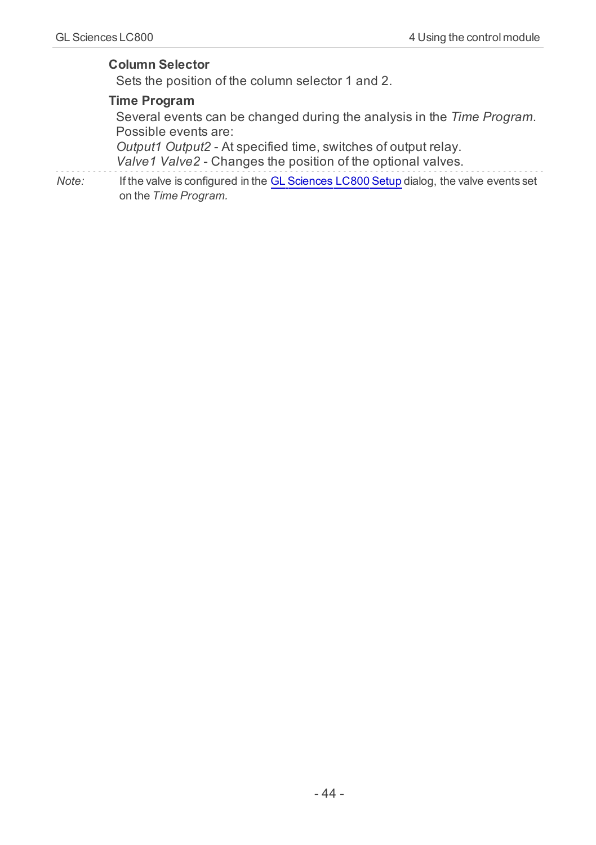#### <span id="page-47-0"></span>**Column Selector**

<span id="page-47-2"></span>Sets the position of the column selector 1 and 2.

#### **Time Program**

Several events can be changed during the analysis in the *Time Program*. Possible events are:

<span id="page-47-3"></span><span id="page-47-1"></span>*Output1 Output2* - At specified time, switches of output relay. *Valve1 Valve2* - Changes the position of the optional valves.

*Note:* If the valve is configured in the [GL](#page-13-1) [Sciences](#page-13-1) [LC800](#page-13-1) [Setup](#page-13-1) dialog, the valve events set on the *Time Program.*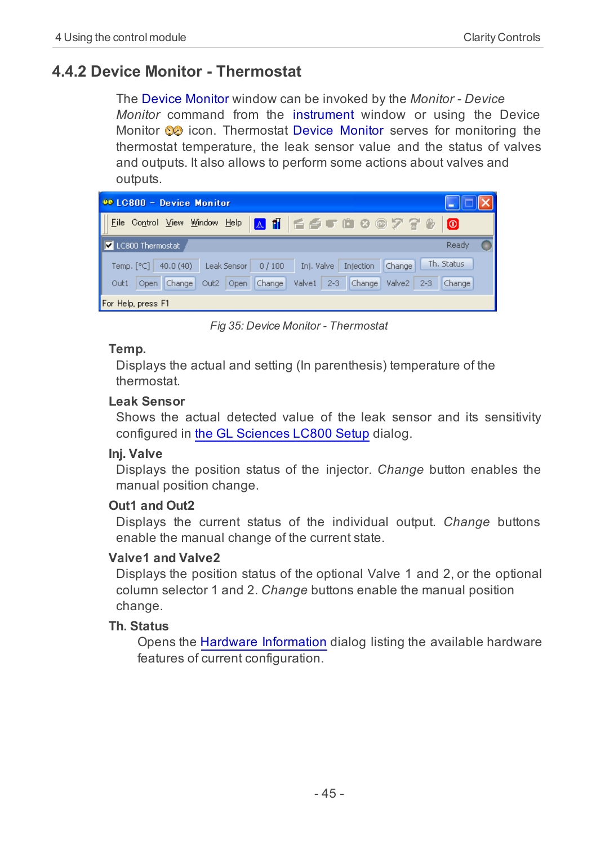## <span id="page-48-0"></span>**4.4.2 Device Monitor - Thermostat**

<span id="page-48-3"></span>The Device Monitor window can be invoked by the *Monitor - Device Monitor* command from the instrument window or using the Device Monitor  $\odot$  icon. Thermostat Device Monitor serves for monitoring the thermostat temperature, the leak sensor value and the status of valves and outputs. It also allows to perform some actions about valves and outputs.

| 00 LC800 - Device Monitor                                                                   |        |
|---------------------------------------------------------------------------------------------|--------|
| Eile Control View Window Help A 1   6 6 0 10 3 3 7 7 8                                      | lo     |
| LC800 Thermostat                                                                            | Ready  |
| Th. Status<br>Temp. $[°C]$ 40.0 (40)<br>Inj. Valve Injection Change<br>Leak Sensor<br>0/100 |        |
| Valve1 2-3 Change Valve2<br>Out2 Open Change<br>Open Change<br>$2 - 3$<br>Out1              | Change |
| For Help, press F1                                                                          |        |

*Fig 35: Device Monitor - Thermostat*

#### <span id="page-48-5"></span>**Temp.**

Displays the actual and setting (In parenthesis) temperature of the thermostat.

#### <span id="page-48-2"></span>**Leak Sensor**

Shows the actual detected value of the leak sensor and its sensitivity configured in [the](#page-13-1) [GL](#page-13-1) [Sciences](#page-13-1) [LC800](#page-13-1) [Setup](#page-13-1) dialog.

#### <span id="page-48-1"></span>**Inj. Valve**

Displays the position status of the injector. *Change* button enables the manual position change.

#### <span id="page-48-4"></span>**Out1 and Out2**

Displays the current status of the individual output. *Change* buttons enable the manual change of the current state.

#### <span id="page-48-7"></span>**Valve1 and Valve2**

Displays the position status of the optional Valve 1 and 2, or the optional column selector 1 and 2. *Change* buttons enable the manual position change.

#### <span id="page-48-6"></span>**Th. Status**

Opens the [Hardware](#page-15-1) [Information](#page-15-1) dialog listing the available hardware features of current configuration.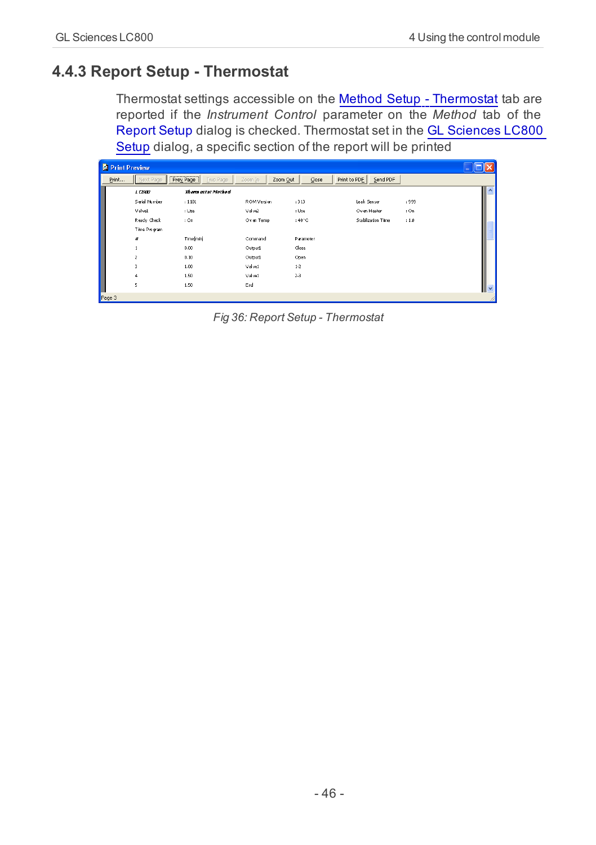## <span id="page-49-0"></span>**4.4.3 Report Setup - Thermostat**

<span id="page-49-1"></span>Thermostat settings accessible on the [Method](#page-46-0) [Setup](#page-46-0) [-](#page-46-0) [Thermostat](#page-46-0) tab are reported if the *Instrument Control* parameter on the *Method* tab of the Report Setup dialog is checked. Thermostat set in the [GL](#page-13-1) [Sciences](#page-13-1) [LC800](#page-13-1) [Setup](#page-13-1) dialog, a specific section of the report will be printed

| <b>Print Preview</b> |                |                                                        |                     |                                  |                    |       |                          |
|----------------------|----------------|--------------------------------------------------------|---------------------|----------------------------------|--------------------|-------|--------------------------|
| Print                | Next Page      | ----------------------<br><b>Two Page</b><br>Prey Page | Zoom Out<br>Zoom In | $\mathsf{Close}$<br>Print to PDF | Send PDF           |       |                          |
|                      | 1C500          | Them estat Method                                      |                     |                                  |                    |       | $\overline{\phantom{a}}$ |
|                      | Serial Number  | : 1101                                                 | ROM Version         | :313                             | Leak Sensor        | : 999 |                          |
|                      | Valve1         | : Use                                                  | Valve2              | : Use                            | Oven Heater        | :On   |                          |
|                      | Ready Check    | : On                                                   | Oven Temp           | $:40^{\circ}$ C                  | Stabilization Time | 11.0  |                          |
|                      | Time Program   |                                                        |                     |                                  |                    |       |                          |
|                      | #              | Time[min]                                              | Command             | Parameter                        |                    |       |                          |
|                      | 1              | 0.00                                                   | Output              | Close                            |                    |       |                          |
|                      | $\overline{z}$ | 0.10                                                   | Output              | Open                             |                    |       |                          |
|                      | 3              | 1.00                                                   | Valve1              | $1-2$                            |                    |       |                          |
|                      | $\ddot{ }$     | 1.50                                                   | Valve1              | $2-3$                            |                    |       |                          |
|                      | 5              | 1.50                                                   | End                 |                                  |                    |       | $\checkmark$             |
| Page 3               |                |                                                        |                     |                                  |                    |       |                          |

*Fig 36: Report Setup - Thermostat*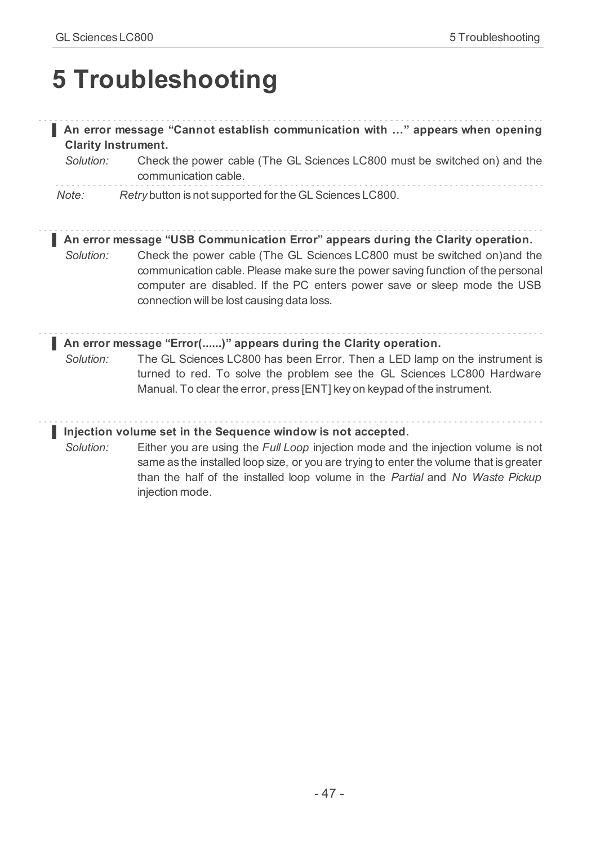## <span id="page-50-0"></span>**5 Troubleshooting**

#### **▌ An error message "Cannot establish communication with …" appears when opening Clarity Instrument.**

*Solution:* Check the power cable (The GL Sciences LC800 must be switched on) and the communication cable.

*Note: Retry* button is not supported for the GL Sciences LC800.

**▌ An error message "USB Communication Error" appears during the Clarity operation.**

*Solution:* Check the power cable (The GL Sciences LC800 must be switched on)and the communication cable. Please make sure the power saving function of the personal computer are disabled. If the PC enters power save or sleep mode the USB connection will be lost causing data loss.

#### **▌ An error message "Error(......)" appears during the Clarity operation.**

*Solution:* The GL Sciences LC800 has been Error. Then a LED lamp on the instrument is turned to red. To solve the problem see the GL Sciences LC800 Hardware Manual. To clear the error, press [ENT] key on keypad of the instrument.

#### **▌ Injection volume set in the Sequence window is not accepted.**

*Solution:* Either you are using the *Full Loop* injection mode and the injection volume is not same as the installed loop size, or you are trying to enter the volume that is greater than the half of the installed loop volume in the *Partial* and *No Waste Pickup* injection mode.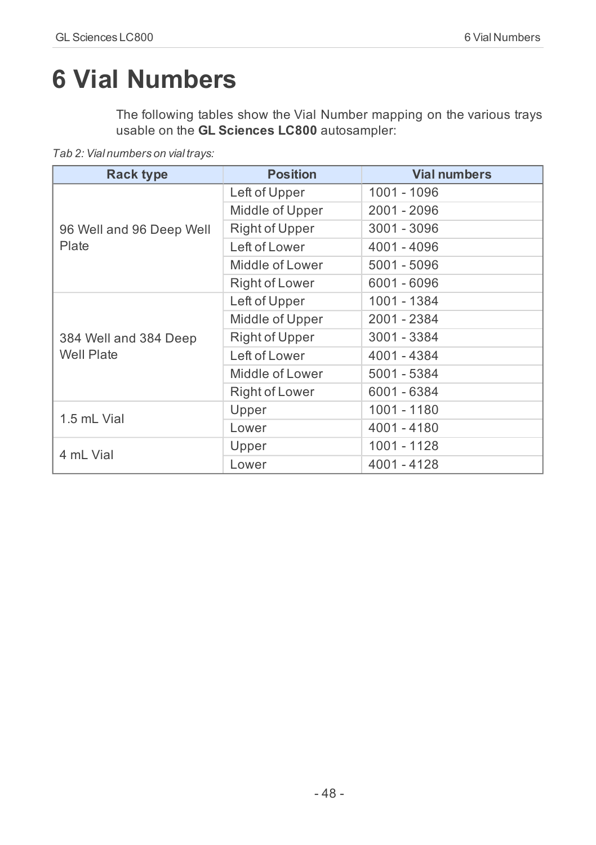## <span id="page-51-0"></span>**6 Vial Numbers**

The following tables show the Vial Number mapping on the various trays usable on the **GL Sciences LC800** autosampler:

*Tab 2: Vial numbers on vial trays:*

| <b>Rack type</b>         | <b>Position</b>       | <b>Vial numbers</b> |
|--------------------------|-----------------------|---------------------|
|                          | Left of Upper         | 1001 - 1096         |
|                          | Middle of Upper       | 2001 - 2096         |
| 96 Well and 96 Deep Well | Right of Upper        | 3001 - 3096         |
| Plate                    | Left of Lower         | 4001 - 4096         |
|                          | Middle of Lower       | 5001 - 5096         |
|                          | <b>Right of Lower</b> | 6001 - 6096         |
|                          | Left of Upper         | 1001 - 1384         |
|                          | Middle of Upper       | 2001 - 2384         |
| 384 Well and 384 Deep    | Right of Upper        | 3001 - 3384         |
| <b>Well Plate</b>        | Left of Lower         | 4001 - 4384         |
|                          | Middle of Lower       | 5001 - 5384         |
|                          | Right of Lower        | 6001 - 6384         |
| 1.5 mL Vial              | Upper                 | 1001 - 1180         |
|                          | Lower                 | 4001 - 4180         |
| 4 ml Vial                | Upper                 | 1001 - 1128         |
|                          | Lower                 | 4001 - 4128         |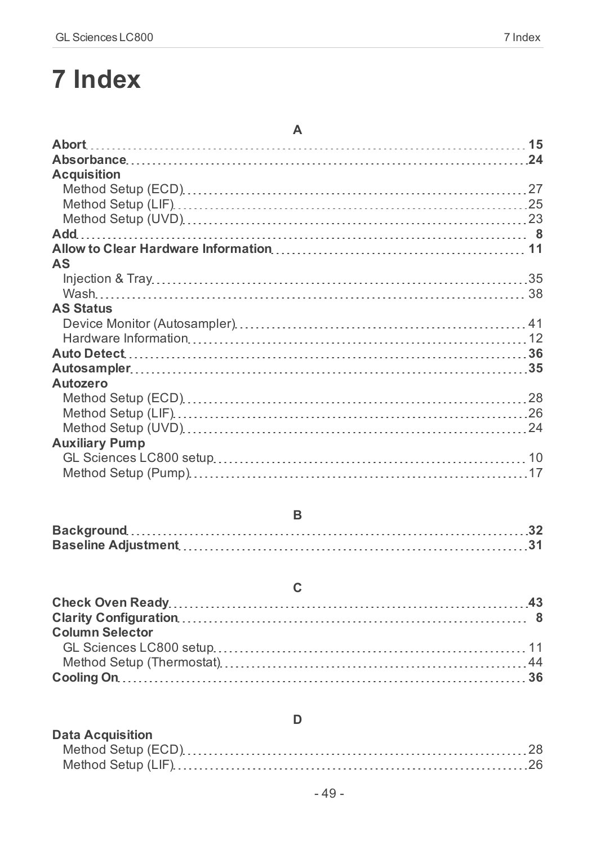# <span id="page-52-0"></span>**7 Index**

| A                     |  |
|-----------------------|--|
|                       |  |
|                       |  |
| <b>Acquisition</b>    |  |
|                       |  |
|                       |  |
|                       |  |
|                       |  |
|                       |  |
| AS                    |  |
|                       |  |
|                       |  |
| <b>AS Status</b>      |  |
|                       |  |
|                       |  |
|                       |  |
|                       |  |
| Autozero              |  |
|                       |  |
|                       |  |
|                       |  |
| <b>Auxiliary Pump</b> |  |
|                       |  |
|                       |  |

| <b>Column Selector</b> |  |
|------------------------|--|
|                        |  |
|                        |  |
|                        |  |
|                        |  |

| <b>Data Acquisition</b> |  |
|-------------------------|--|
|                         |  |
|                         |  |

**D**

## **C**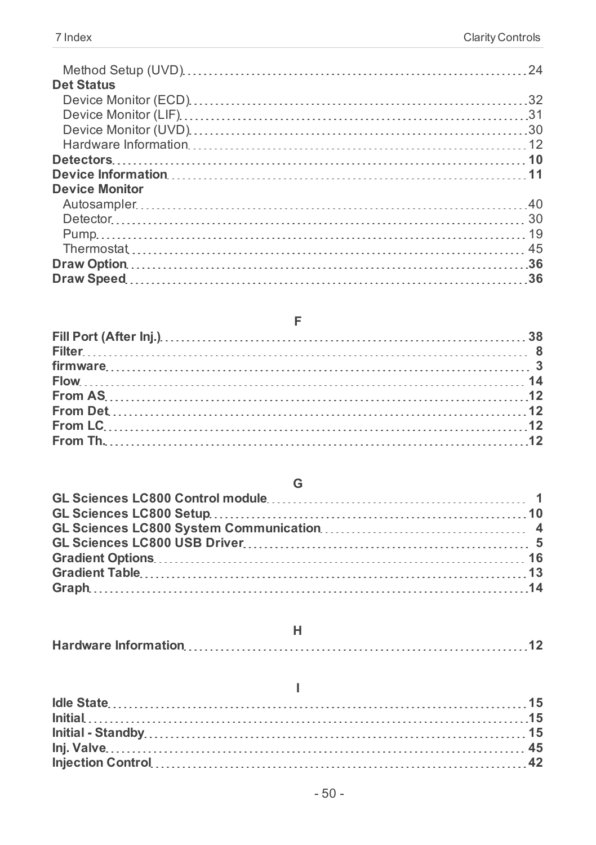| <b>Det Status</b>     |  |
|-----------------------|--|
|                       |  |
|                       |  |
|                       |  |
|                       |  |
|                       |  |
|                       |  |
| <b>Device Monitor</b> |  |
|                       |  |
|                       |  |
|                       |  |
|                       |  |
|                       |  |
|                       |  |
|                       |  |

**F**

#### **G**

### **I**

### - 50 -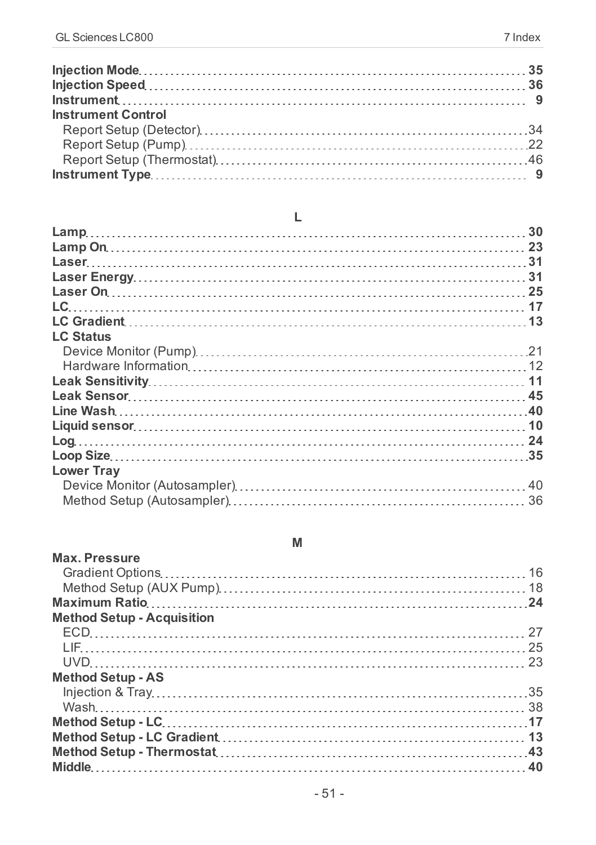| <b>Instrument Control</b> |  |
|---------------------------|--|
|                           |  |
|                           |  |
|                           |  |
|                           |  |

#### **L**

| LC.               |  |
|-------------------|--|
|                   |  |
| <b>LC Status</b>  |  |
|                   |  |
|                   |  |
|                   |  |
|                   |  |
|                   |  |
|                   |  |
|                   |  |
|                   |  |
| <b>Lower Trav</b> |  |
|                   |  |
|                   |  |
|                   |  |

#### **M**

| <b>Max. Pressure</b>              |  |
|-----------------------------------|--|
|                                   |  |
|                                   |  |
|                                   |  |
| <b>Method Setup - Acquisition</b> |  |
|                                   |  |
|                                   |  |
|                                   |  |
| <b>Method Setup - AS</b>          |  |
|                                   |  |
|                                   |  |
|                                   |  |
|                                   |  |
|                                   |  |
|                                   |  |
|                                   |  |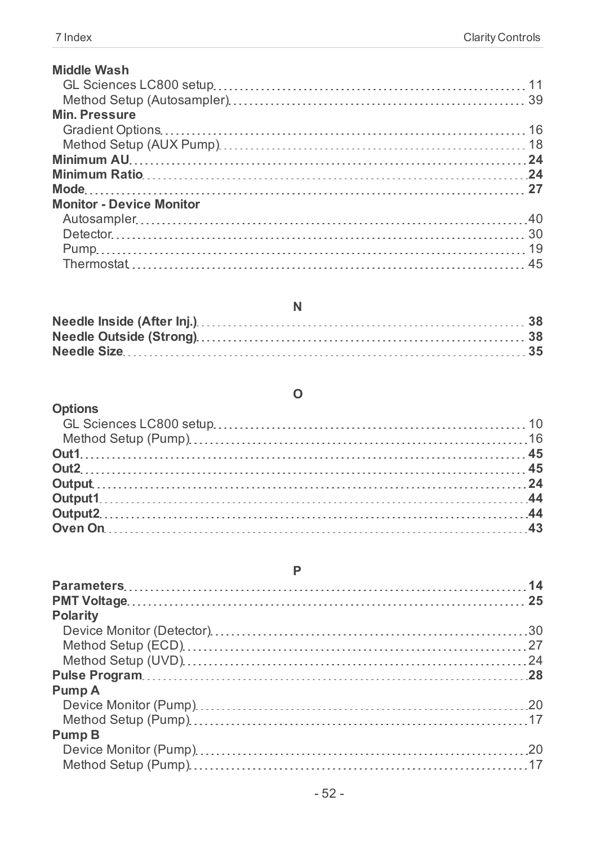| <b>Middle Wash</b>              |  |
|---------------------------------|--|
|                                 |  |
|                                 |  |
| <b>Min. Pressure</b>            |  |
|                                 |  |
|                                 |  |
|                                 |  |
|                                 |  |
|                                 |  |
| <b>Monitor - Device Monitor</b> |  |
|                                 |  |
|                                 |  |
|                                 |  |
|                                 |  |

| <b>Options</b> |  |
|----------------|--|
|                |  |
|                |  |
|                |  |
|                |  |
|                |  |
|                |  |
|                |  |
|                |  |

#### **P**

| <b>Polarity</b> |  |
|-----------------|--|
|                 |  |
|                 |  |
|                 |  |
|                 |  |
| Pump A          |  |
|                 |  |
|                 |  |
| Pump B          |  |
|                 |  |
|                 |  |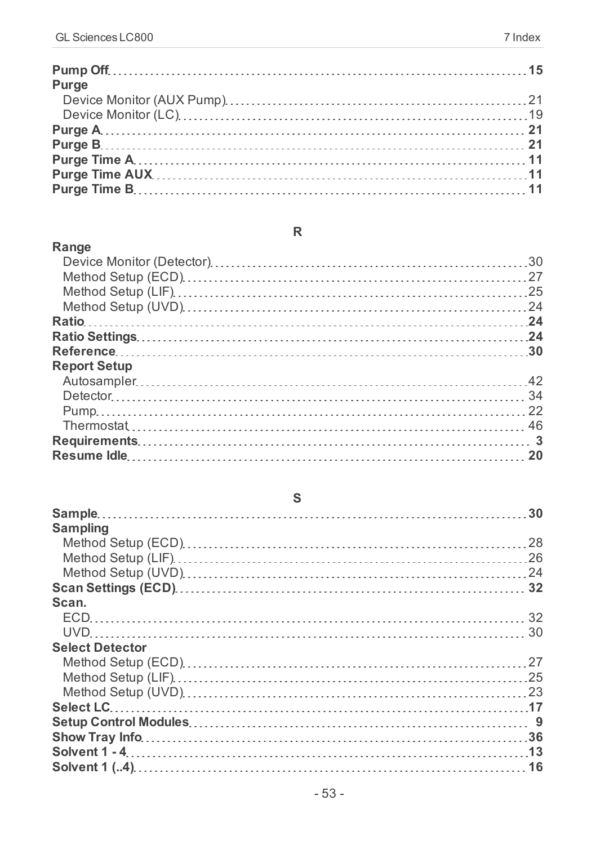| Purge |  |
|-------|--|
|       |  |
|       |  |
|       |  |
|       |  |
|       |  |
|       |  |
|       |  |

#### **Range**

| <b>Report Setup</b> |  |
|---------------------|--|
|                     |  |
|                     |  |
|                     |  |
|                     |  |
|                     |  |
|                     |  |
|                     |  |

### **S**

| <b>Sampling</b>        |  |
|------------------------|--|
|                        |  |
|                        |  |
|                        |  |
|                        |  |
| Scan.                  |  |
|                        |  |
|                        |  |
| <b>Select Detector</b> |  |
|                        |  |
|                        |  |
|                        |  |
|                        |  |
|                        |  |
|                        |  |
|                        |  |
|                        |  |

## **R**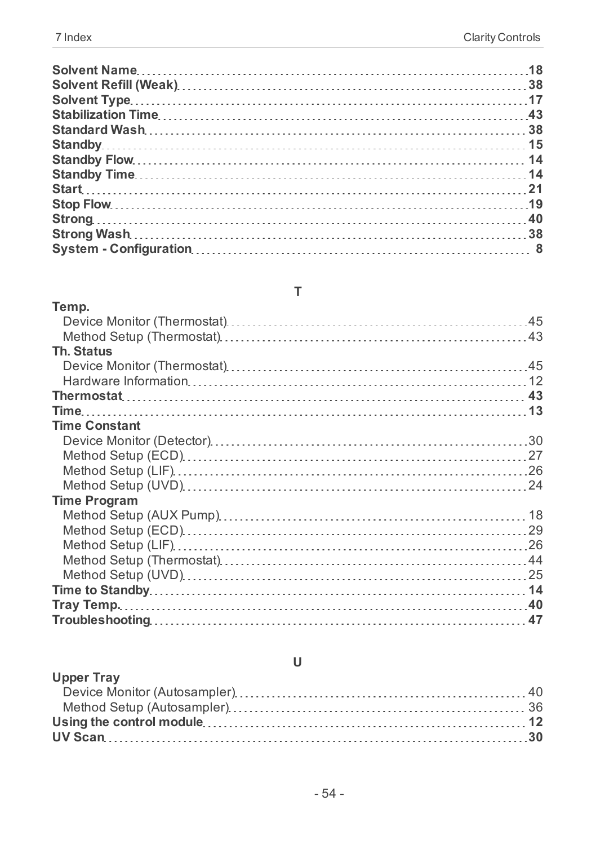### **T**

| Temp.                |  |
|----------------------|--|
|                      |  |
|                      |  |
| Th. Status           |  |
|                      |  |
|                      |  |
|                      |  |
|                      |  |
| <b>Time Constant</b> |  |
|                      |  |
|                      |  |
|                      |  |
|                      |  |
| <b>Time Program</b>  |  |
|                      |  |
|                      |  |
|                      |  |
|                      |  |
|                      |  |
|                      |  |
|                      |  |
|                      |  |

## **U**

| <b>Upper Tray</b> |  |
|-------------------|--|
|                   |  |
|                   |  |
|                   |  |
|                   |  |